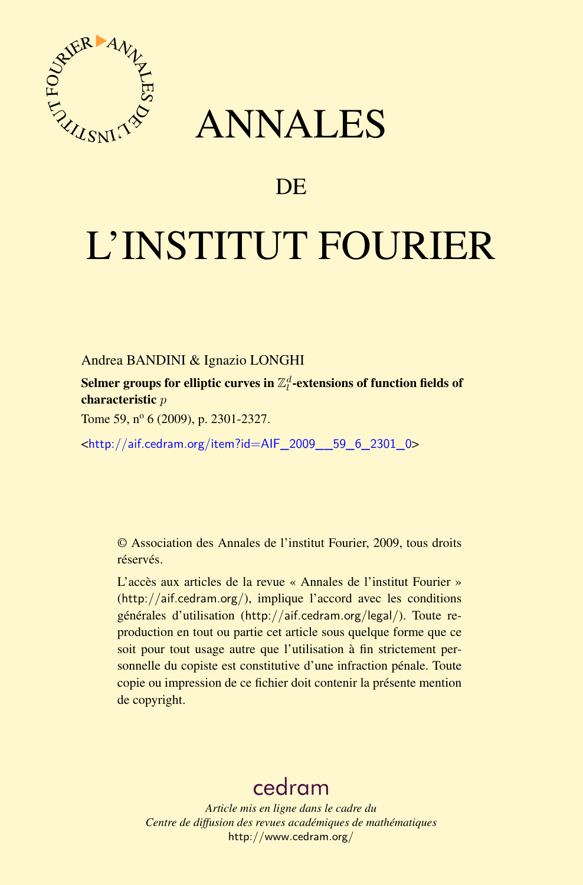

# ANNALES

# **DE**

# L'INSTITUT FOURIER

Andrea BANDINI & Ignazio LONGHI

Selmer groups for elliptic curves in  $\mathbb{Z}_l^d$  -extensions of function fields of characteristic *p*

Tome 59, nº 6 (2009), p. 2301-2327.

<[http://aif.cedram.org/item?id=AIF\\_2009\\_\\_59\\_6\\_2301\\_0](http://aif.cedram.org/item?id=AIF_2009__59_6_2301_0)>

© Association des Annales de l'institut Fourier, 2009, tous droits réservés.

L'accès aux articles de la revue « Annales de l'institut Fourier » (<http://aif.cedram.org/>), implique l'accord avec les conditions générales d'utilisation (<http://aif.cedram.org/legal/>). Toute reproduction en tout ou partie cet article sous quelque forme que ce soit pour tout usage autre que l'utilisation à fin strictement personnelle du copiste est constitutive d'une infraction pénale. Toute copie ou impression de ce fichier doit contenir la présente mention de copyright.

# [cedram](http://www.cedram.org/)

*Article mis en ligne dans le cadre du Centre de diffusion des revues académiques de mathématiques* <http://www.cedram.org/>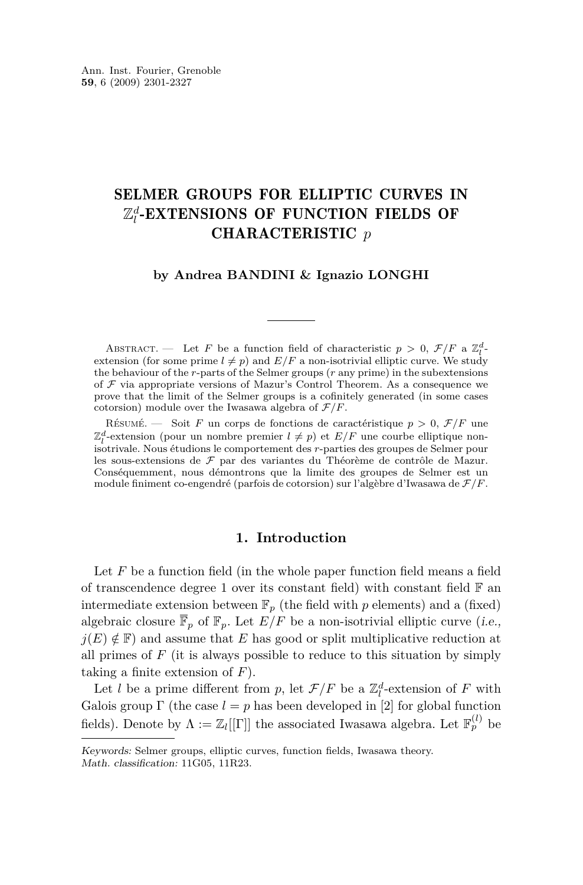## SELMER GROUPS FOR ELLIPTIC CURVES IN  $\mathbb{Z}_l^d$ -EXTENSIONS OF FUNCTION FIELDS OF CHARACTERISTIC *p*

#### **by Andrea BANDINI & Ignazio LONGHI**

ABSTRACT. — Let *F* be a function field of characteristic  $p > 0$ ,  $\mathcal{F}/F$  a  $\mathbb{Z}_l^d$ . extension (for some prime  $l \neq p$ ) and  $E/F$  a non-isotrivial elliptic curve. We study the behaviour of the *r*-parts of the Selmer groups (*r* any prime) in the subextensions of *F* via appropriate versions of Mazur's Control Theorem. As a consequence we prove that the limit of the Selmer groups is a cofinitely generated (in some cases cotorsion) module over the Iwasawa algebra of  $\mathcal{F}/F$ .

RÉSUMÉ. — Soit *F* un corps de fonctions de caractéristique  $p > 0$ ,  $\mathcal{F}/F$  une  $\mathbb{Z}_l^d$ -extension (pour un nombre premier  $l \neq p$ ) et  $E/F$  une courbe elliptique non- $\mathbb{E}_l$  extension (pour un nombre premier  $\ell \neq p$ ) et  $\mathbb{E}_l$  une courbe employee non-<br>isotrivale. Nous étudions le comportement des *r*-parties des groupes de Selmer pour les sous-extensions de *F* par des variantes du Théorème de contrôle de Mazur. Conséquemment, nous démontrons que la limite des groupes de Selmer est un module finiment co-engendré (parfois de cotorsion) sur l'algèbre d'Iwasawa de *F/F*.

#### **1. Introduction**

Let *F* be a function field (in the whole paper function field means a field of transcendence degree 1 over its constant field) with constant field  $\mathbb F$  and intermediate extension between  $\mathbb{F}_p$  (the field with  $p$  elements) and a (fixed) algebraic closure  $\overline{\mathbb{F}}_p$  of  $\mathbb{F}_p$ . Let  $E/F$  be a non-isotrivial elliptic curve (*i.e.*,  $j(E) \notin \mathbb{F}$  and assume that *E* has good or split multiplicative reduction at all primes of  $F$  (it is always possible to reduce to this situation by simply taking a finite extension of *F*).

Let *l* be a prime different from *p*, let  $\mathcal{F}/F$  be a  $\mathbb{Z}_l^d$ -extension of *F* with Galois group  $\Gamma$  (the case  $l = p$  has been developed in [\[2\]](#page-26-0) for global function fields). Denote by  $\Lambda := \mathbb{Z}_l[[\Gamma]]$  the associated Iwasawa algebra. Let  $\mathbb{F}_p^{(l)}$  be

Keywords: Selmer groups, elliptic curves, function fields, Iwasawa theory. Math. classification: 11G05, 11R23.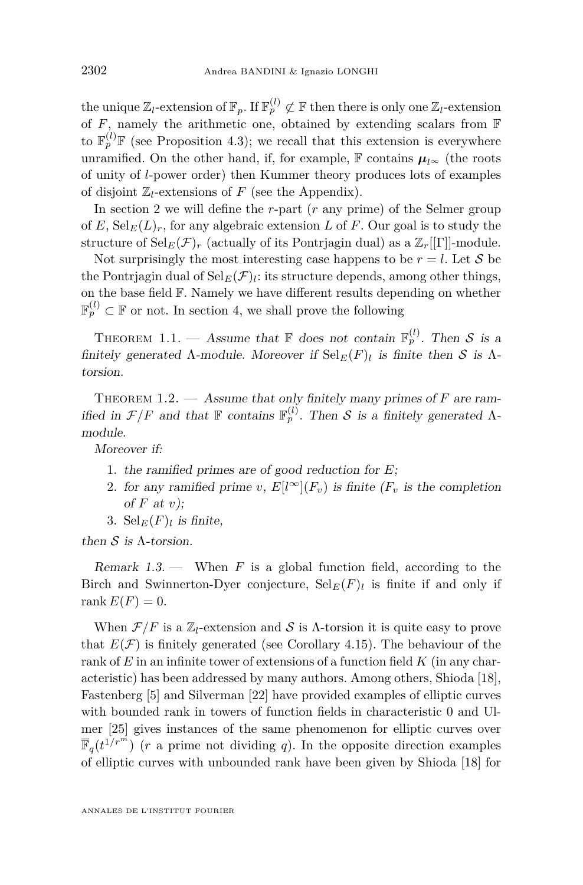<span id="page-2-0"></span>the unique  $\mathbb{Z}_l$ -extension of  $\mathbb{F}_p$ . If  $\mathbb{F}_p^{(l)} \not\subset \mathbb{F}$  then there is only one  $\mathbb{Z}_l$ -extension of  $F$ , namely the arithmetic one, obtained by extending scalars from  $F$ to  $\mathbb{F}_p^{(l)}\mathbb{F}$  (see Proposition [4.3\)](#page-11-0); we recall that this extension is everywhere unramified. On the other hand, if, for example,  $\mathbb{F}$  contains  $\mu_{l^{\infty}}$  (the roots of unity of *l*-power order) then Kummer theory produces lots of examples of disjoint  $\mathbb{Z}_l$ -extensions of *F* (see the Appendix).

In section 2 we will define the *r*-part (*r* any prime) of the Selmer group of *E*,  $\text{Sel}_F(L)_r$ , for any algebraic extension *L* of *F*. Our goal is to study the structure of  $\operatorname{Sel}_E(\mathcal{F})_r$  (actually of its Pontrjagin dual) as a  $\mathbb{Z}_r[[\Gamma]]$ -module.

Not surprisingly the most interesting case happens to be  $r = l$ . Let S be the Pontrjagin dual of  $\textnormal{Sel}_{E}(\mathcal{F})$ *l*: its structure depends, among other things, on the base field F. Namely we have different results depending on whether  $\mathbb{F}_p^{(l)} \subset \mathbb{F}$  or not. In section [4,](#page-10-0) we shall prove the following

THEOREM 1.1. — Assume that  $\mathbb{F}$  does not contain  $\mathbb{F}_p^{(l)}$ . Then *S* is a finitely generated  $\Lambda$ -module. Moreover if  $\text{Sel}_E(F)_l$  is finite then *S* is  $\Lambda$ torsion.

THEOREM 1.2. — Assume that only finitely many primes of *F* are ramified in  $\mathcal{F}/F$  and that  $\mathbb{F}$  contains  $\mathbb{F}_p^{(l)}$ . Then *S* is a finitely generated  $\Lambda$ module.

Moreover if:

- 1. the ramified primes are of good reduction for *E*;
- 2. for any ramified prime *v*,  $E[l^{\infty}](F_v)$  is finite  $(F_v$  is the completion of *F* at *v*);
- 3.  $\text{Sel}_E(F)_l$  is finite,

then *S* is Λ-torsion.

Remark  $1.3$  — When  $F$  is a global function field, according to the Birch and Swinnerton-Dyer conjecture,  $\text{Sel}_E(F)_l$  is finite if and only if rank  $E(F) = 0$ .

When  $\mathcal{F}/F$  is a  $\mathbb{Z}_l$ -extension and *S* is *Λ*-torsion it is quite easy to prove that  $E(\mathcal{F})$  is finitely generated (see Corollary [4.15\)](#page-20-0). The behaviour of the rank of *E* in an infinite tower of extensions of a function field *K* (in any characteristic) has been addressed by many authors. Among others, Shioda [\[18\]](#page-27-0), Fastenberg [\[5\]](#page-26-0) and Silverman [\[22\]](#page-27-0) have provided examples of elliptic curves with bounded rank in towers of function fields in characteristic 0 and Ulmer [\[25\]](#page-27-0) gives instances of the same phenomenon for elliptic curves over  $\overline{\mathbb{F}}_q(t^{1/r^m})$  (*r* a prime not dividing *q*). In the opposite direction examples of elliptic curves with unbounded rank have been given by Shioda [\[18\]](#page-27-0) for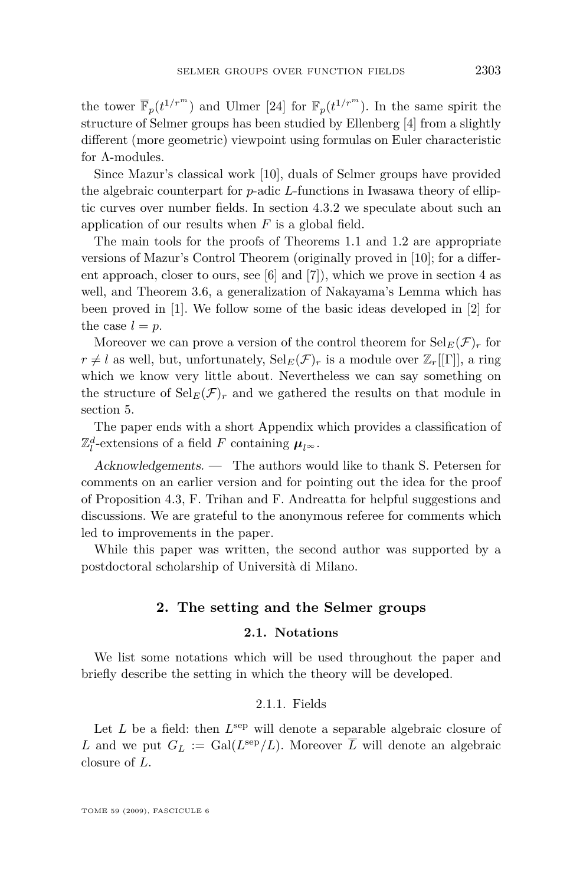<span id="page-3-0"></span>the tower  $\bar{\mathbb{F}}_p(t^{1/r^m})$  and Ulmer [\[24\]](#page-27-0) for  $\mathbb{F}_p(t^{1/r^m})$ . In the same spirit the structure of Selmer groups has been studied by Ellenberg [\[4\]](#page-26-0) from a slightly different (more geometric) viewpoint using formulas on Euler characteristic for Λ-modules.

Since Mazur's classical work [\[10\]](#page-26-0), duals of Selmer groups have provided the algebraic counterpart for *p*-adic *L*-functions in Iwasawa theory of elliptic curves over number fields. In section [4.3.2](#page-20-0) we speculate about such an application of our results when *F* is a global field.

The main tools for the proofs of Theorems [1.1](#page-2-0) and [1.2](#page-2-0) are appropriate versions of Mazur's Control Theorem (originally proved in [\[10\]](#page-26-0); for a different approach, closer to ours, see [\[6\]](#page-26-0) and [\[7\]](#page-26-0)), which we prove in section [4](#page-10-0) as well, and Theorem [3.6,](#page-10-0) a generalization of Nakayama's Lemma which has been proved in [\[1\]](#page-26-0). We follow some of the basic ideas developed in [\[2\]](#page-26-0) for the case  $l = p$ .

Moreover we can prove a version of the control theorem for  $\operatorname{Sel}_E(\mathcal{F})_r$  for  $r \neq l$  as well, but, unfortunately,  $\text{Sel}_E(\mathcal{F})_r$  is a module over  $\mathbb{Z}_r[[\Gamma]]$ , a ring which we know very little about. Nevertheless we can say something on the structure of  $\text{Sel}_E(\mathcal{F})_r$  and we gathered the results on that module in section [5.](#page-22-0)

The paper ends with a short Appendix which provides a classification of  $\mathbb{Z}_{l}^{d}$ -extensions of a field *F* containing  $\mu_{l}$ <sup> $\infty$ .</sup>

Acknowledgements. — The authors would like to thank S. Petersen for comments on an earlier version and for pointing out the idea for the proof of Proposition [4.3,](#page-11-0) F. Trihan and F. Andreatta for helpful suggestions and discussions. We are grateful to the anonymous referee for comments which led to improvements in the paper.

While this paper was written, the second author was supported by a postdoctoral scholarship of Università di Milano.

#### **2. The setting and the Selmer groups**

#### **2.1. Notations**

We list some notations which will be used throughout the paper and briefly describe the setting in which the theory will be developed.

#### 2.1.1. Fields

Let  $L$  be a field: then  $L^{\text{sep}}$  will denote a separable algebraic closure of L and we put  $G_L := \text{Gal}(L^{\text{sep}}/L)$ . Moreover  $\overline{L}$  will denote an algebraic closure of *L*.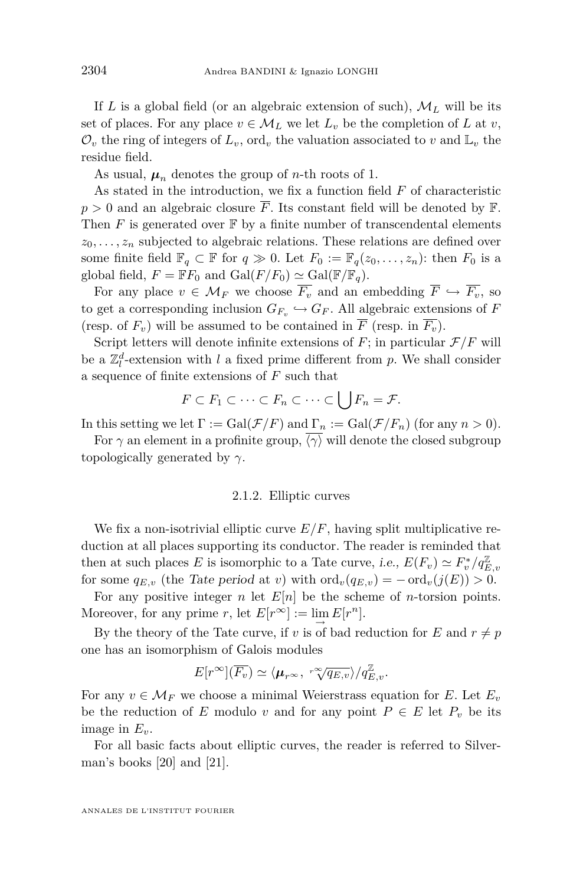If *L* is a global field (or an algebraic extension of such),  $M_L$  will be its set of places. For any place  $v \in M_L$  we let  $L_v$  be the completion of *L* at *v*,  $\mathcal{O}_v$  the ring of integers of  $L_v$ , ord<sub>v</sub> the valuation associated to v and  $\mathbb{L}_v$  the residue field.

As usual,  $\mu_n$  denotes the group of *n*-th roots of 1.

As stated in the introduction, we fix a function field *F* of characteristic  $p > 0$  and an algebraic closure  $\overline{F}$ . Its constant field will be denoted by  $\mathbb{F}$ . Then  $F$  is generated over  $\mathbb F$  by a finite number of transcendental elements  $z_0, \ldots, z_n$  subjected to algebraic relations. These relations are defined over some finite field  $\mathbb{F}_q \subset \mathbb{F}$  for  $q \gg 0$ . Let  $F_0 := \mathbb{F}_q(z_0, \ldots, z_n)$ : then  $F_0$  is a global field,  $F = \mathbb{F}F_0$  and  $Gal(F/F_0) \simeq Gal(\mathbb{F}/\mathbb{F}_q)$ .

For any place  $v \in M_F$  we choose  $\overline{F_v}$  and an embedding  $\overline{F} \hookrightarrow \overline{F_v}$ , so to get a corresponding inclusion  $G_{F_v} \hookrightarrow G_F$ . All algebraic extensions of *F* (resp. of  $F_v$ ) will be assumed to be contained in  $\overline{F}$  (resp. in  $\overline{F_v}$ ).

Script letters will denote infinite extensions of  $F$ ; in particular  $\mathcal{F}/F$  will be a  $\mathbb{Z}_l^d$ -extension with *l* a fixed prime different from *p*. We shall consider a sequence of finite extensions of *F* such that

$$
F \subset F_1 \subset \cdots \subset F_n \subset \cdots \subset \bigcup F_n = \mathcal{F}.
$$

In this setting we let  $\Gamma := \text{Gal}(\mathcal{F}/F)$  and  $\Gamma_n := \text{Gal}(\mathcal{F}/F_n)$  (for any  $n > 0$ ).

For  $\gamma$  an element in a profinite group,  $\langle \gamma \rangle$  will denote the closed subgroup topologically generated by *γ*.

#### 2.1.2. Elliptic curves

We fix a non-isotrivial elliptic curve  $E/F$ , having split multiplicative reduction at all places supporting its conductor. The reader is reminded that then at such places *E* is isomorphic to a Tate curve, i.e.,  $E(F_v) \simeq F_v^*/q_{E,v}^{\mathbb{Z}}$ for some  $q_{E,v}$  (the Tate period at *v*) with  $\text{ord}_v(q_{E,v}) = -\text{ord}_v(j(E)) > 0$ .

For any positive integer *n* let  $E[n]$  be the scheme of *n*-torsion points. Moreover, for any prime *r*, let  $E[r^{\infty}] := \lim_{\longrightarrow} E[r^n]$ .

By the theory of the Tate curve, if *v* is of bad reduction for *E* and  $r \neq p$ one has an isomorphism of Galois modules

$$
E[r^{\infty}](\overline{F_{v}}) \simeq \langle \mu_{r^{\infty}}, \sqrt[r \infty]{q_{E,v}} \rangle / q_{E,v}^{\mathbb{Z}}.
$$

For any  $v \in \mathcal{M}_F$  we choose a minimal Weierstrass equation for *E*. Let  $E_v$ be the reduction of *E* modulo *v* and for any point  $P \in E$  let  $P_v$  be its image in *Ev*.

For all basic facts about elliptic curves, the reader is referred to Silverman's books [\[20\]](#page-27-0) and [\[21\]](#page-27-0).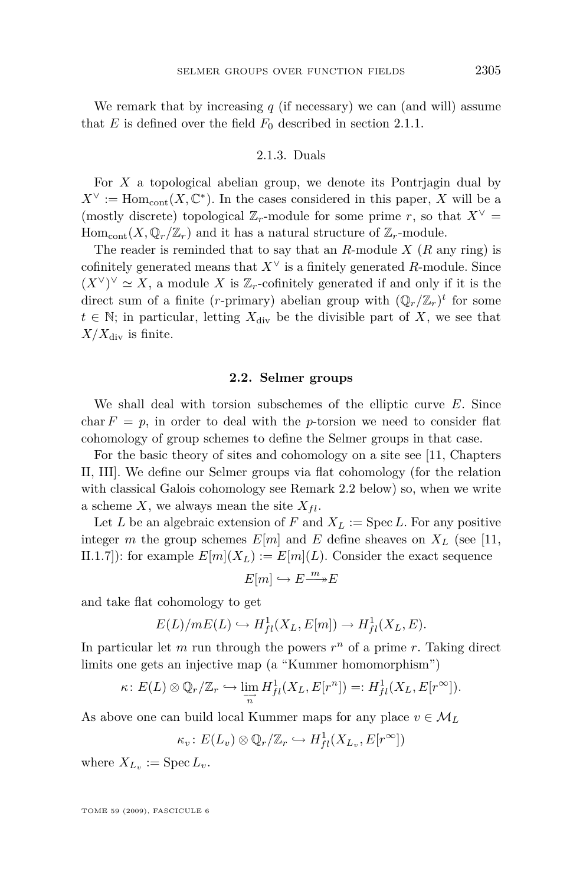<span id="page-5-0"></span>We remark that by increasing  $q$  (if necessary) we can (and will) assume that *E* is defined over the field  $F_0$  described in section [2.1.1.](#page-3-0)

#### 2.1.3. Duals

For *X* a topological abelian group, we denote its Pontrjagin dual by  $X^{\vee}$  := Hom<sub>cont</sub> $(X, \mathbb{C}^*)$ . In the cases considered in this paper, *X* will be a (mostly discrete) topological  $\mathbb{Z}_r$ -module for some prime *r*, so that  $X^\vee$  = Hom<sub>cont</sub> $(X, \mathbb{Q}_r/\mathbb{Z}_r)$  and it has a natural structure of  $\mathbb{Z}_r$ -module.

The reader is reminded that to say that an *R*-module *X* (*R* any ring) is cofinitely generated means that  $X^{\vee}$  is a finitely generated *R*-module. Since  $(X<sup>V</sup>)<sup>V</sup> ≈ X$ , a module X is  $\mathbb{Z}_r$ -cofinitely generated if and only if it is the direct sum of a finite (*r*-primary) abelian group with  $(\mathbb{Q}_r/\mathbb{Z}_r)^t$  for some  $t \in \mathbb{N}$ ; in particular, letting  $X_{\text{div}}$  be the divisible part of X, we see that  $X/X_{\text{div}}$  is finite.

#### **2.2. Selmer groups**

We shall deal with torsion subschemes of the elliptic curve *E*. Since char  $F = p$ , in order to deal with the *p*-torsion we need to consider flat cohomology of group schemes to define the Selmer groups in that case.

For the basic theory of sites and cohomology on a site see [\[11,](#page-26-0) Chapters II, III]. We define our Selmer groups via flat cohomology (for the relation with classical Galois cohomology see Remark [2.2](#page-6-0) below) so, when we write a scheme *X*, we always mean the site  $X_{fl}$ .

Let *L* be an algebraic extension of *F* and  $X_L := \text{Spec } L$ . For any positive integer *m* the group schemes  $E[m]$  and  $E$  define sheaves on  $X_L$  (see [\[11,](#page-26-0) II.1.7]): for example  $E[m](X_L) := E[m](L)$ . Consider the exact sequence

$$
E[m] \hookrightarrow E \xrightarrow{m} E
$$

and take flat cohomology to get

$$
E(L)/mE(L) \hookrightarrow H^1_{fl}(X_L, E[m]) \to H^1_{fl}(X_L, E).
$$

In particular let  $m$  run through the powers  $r^n$  of a prime  $r$ . Taking direct limits one gets an injective map (a "Kummer homomorphism")

$$
\kappa\colon E(L)\otimes \mathbb{Q}_r/\mathbb{Z}_r\hookrightarrow \varinjlim_{\substack{\longrightarrow \\ n}}H^1_{fl}(X_L,E[r^n])=:H^1_{fl}(X_L,E[r^\infty]).
$$

As above one can build local Kummer maps for any place  $v \in M_L$ 

$$
\kappa_v: E(L_v) \otimes \mathbb{Q}_r/\mathbb{Z}_r \hookrightarrow H^1_{fl}(X_{L_v}, E[r^\infty])
$$

where  $X_{L_v} := \text{Spec } L_v$ .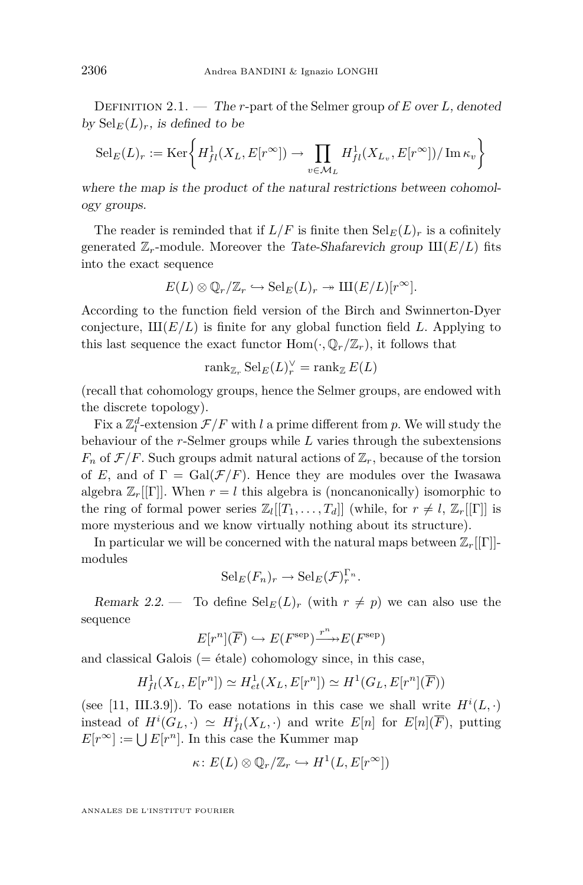<span id="page-6-0"></span>Definition 2.1. — The *r*-part of the Selmer group of *E* over *L*, denoted by  $\text{Sel}_E(L)_r$ , is defined to be

$$
Sel_E(L)_r := \text{Ker}\bigg\{ H^1_{fl}(X_L, E[r^\infty]) \to \prod_{v \in \mathcal{M}_L} H^1_{fl}(X_{L_v}, E[r^\infty]) / \text{Im} \,\kappa_v \bigg\}
$$

where the map is the product of the natural restrictions between cohomology groups.

The reader is reminded that if  $L/F$  is finite then  $\text{Sel}_E(L)_r$  is a cofinitely generated  $\mathbb{Z}_r$ -module. Moreover the Tate-Shafarevich group  $\text{III}(E/L)$  fits into the exact sequence

$$
E(L) \otimes \mathbb{Q}_r/\mathbb{Z}_r \hookrightarrow \mathrm{Sel}_E(L)_r \twoheadrightarrow \mathrm{III}(E/L)[r^{\infty}].
$$

According to the function field version of the Birch and Swinnerton-Dyer conjecture,  $III(E/L)$  is finite for any global function field L. Applying to this last sequence the exact functor  $\text{Hom}(\cdot, \mathbb{Q}_r/\mathbb{Z}_r)$ , it follows that

$$
\operatorname{rank}_{\mathbb{Z}_r} \operatorname{Sel}_E(L)_r^\vee = \operatorname{rank}_{\mathbb{Z}} E(L)
$$

(recall that cohomology groups, hence the Selmer groups, are endowed with the discrete topology).

Fix a  $\mathbb{Z}_l^d$ -extension  $\mathcal{F}/F$  with *l* a prime different from *p*. We will study the behaviour of the *r*-Selmer groups while *L* varies through the subextensions  $F_n$  of  $\mathcal{F}/F$ . Such groups admit natural actions of  $\mathbb{Z}_r$ , because of the torsion of *E*, and of  $\Gamma = \text{Gal}(\mathcal{F}/F)$ . Hence they are modules over the Iwasawa algebra  $\mathbb{Z}_r[[\Gamma]]$ . When  $r = l$  this algebra is (noncanonically) isomorphic to the ring of formal power series  $\mathbb{Z}_l[[T_1,\ldots,T_d]]$  (while, for  $r \neq l$ ,  $\mathbb{Z}_r[[\Gamma]]$  is more mysterious and we know virtually nothing about its structure).

In particular we will be concerned with the natural maps between  $\mathbb{Z}_r[[\Gamma]]$ modules

$$
\mathrm{Sel}_E(F_n)_r \to \mathrm{Sel}_E(\mathcal{F})_r^{\Gamma_n}.
$$

Remark 2.2. — To define  $\text{Sel}_E(L)_r$  (with  $r \neq p$ ) we can also use the sequence

$$
E[r^n](\overline{F}) \hookrightarrow E(F^{\text{sep}}) \xrightarrow{r^n} E(F^{\text{sep}})
$$

and classical Galois  $(= \text{étale})$  cohomology since, in this case,

$$
H^1_{fl}(X_L, E[r^n]) \simeq H^1_{et}(X_L, E[r^n]) \simeq H^1(G_L, E[r^n](\overline{F}))
$$

(see [\[11,](#page-26-0) III.3.9]). To ease notations in this case we shall write  $H^{i}(L, \cdot)$ instead of  $H^i(G_L, \cdot) \simeq H^i_{fl}(X_L, \cdot)$  and write  $E[n]$  for  $E[n](\overline{F})$ , putting  $E[r^{\infty}] := \bigcup E[r^n]$ . In this case the Kummer map

$$
\kappa\colon E(L)\otimes \mathbb{Q}_r/\mathbb{Z}_r\hookrightarrow H^1(L,E[r^\infty])
$$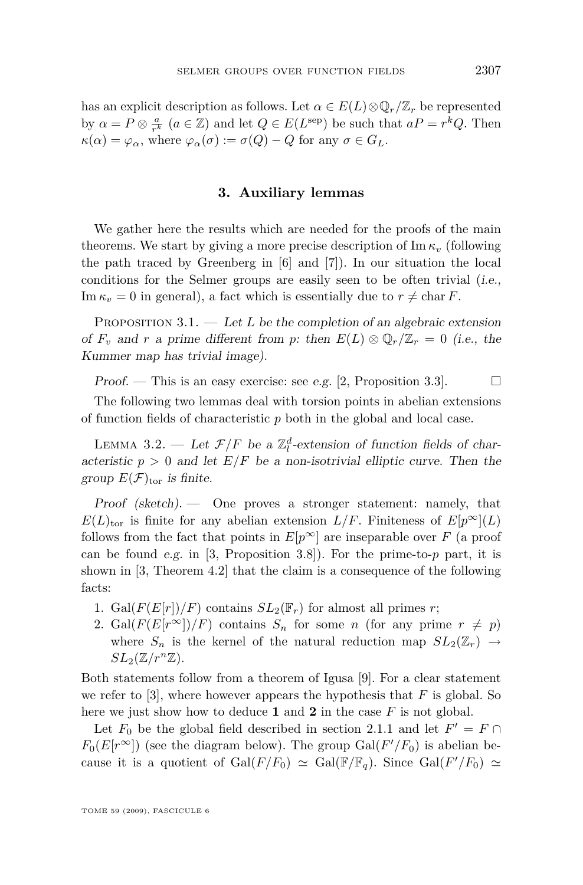<span id="page-7-0"></span>has an explicit description as follows. Let  $\alpha \in E(L) \otimes \mathbb{Q}_r/\mathbb{Z}_r$  be represented by  $\alpha = P \otimes \frac{a}{r^k}$  ( $a \in \mathbb{Z}$ ) and let  $Q \in E(L^{\text{sep}})$  be such that  $aP = r^k Q$ . Then  $\kappa(\alpha) = \varphi_{\alpha}$ , where  $\varphi_{\alpha}(\sigma) := \sigma(Q) - Q$  for any  $\sigma \in G_L$ .

#### **3. Auxiliary lemmas**

We gather here the results which are needed for the proofs of the main theorems. We start by giving a more precise description of  $\text{Im }\kappa$ *v* (following the path traced by Greenberg in [\[6\]](#page-26-0) and [\[7\]](#page-26-0)). In our situation the local conditions for the Selmer groups are easily seen to be often trivial (i.e., Im  $\kappa_v = 0$  in general), a fact which is essentially due to  $r \neq \text{char } F$ .

PROPOSITION 3.1. — Let L be the completion of an algebraic extension of  $F_v$  and  $r$  a prime different from  $p$ : then  $E(L) \otimes \mathbb{Q}_r/\mathbb{Z}_r = 0$  (i.e., the Kummer map has trivial image).

Proof. — This is an easy exercise: see e.g. [\[2,](#page-26-0) Proposition 3.3].  $\Box$ 

The following two lemmas deal with torsion points in abelian extensions of function fields of characteristic *p* both in the global and local case.

LEMMA 3.2. — Let  $\mathcal{F}/F$  be a  $\mathbb{Z}_l^d$ -extension of function fields of characteristic  $p > 0$  and let  $E/F$  be a non-isotrivial elliptic curve. Then the group  $E(\mathcal{F})_{\text{tor}}$  is finite.

Proof (sketch). — One proves a stronger statement: namely, that  $E(L)_{\text{tor}}$  is finite for any abelian extension  $L/F$ . Finiteness of  $E[p^{\infty}](L)$ follows from the fact that points in  $E[p^{\infty}]$  are inseparable over *F* (a proof can be found e.g. in [\[3,](#page-26-0) Proposition 3.8]). For the prime-to-*p* part, it is shown in [\[3,](#page-26-0) Theorem 4.2] that the claim is a consequence of the following facts:

- 1. Gal $(F(E[r])/F)$  contains  $SL_2(\mathbb{F}_r)$  for almost all primes *r*;
- 2. Gal( $F(E[r^{\infty}])/F)$  contains  $S_n$  for some *n* (for any prime  $r \neq p$ ) where  $S_n$  is the kernel of the natural reduction map  $SL_2(\mathbb{Z}_r) \rightarrow$  $SL_2(\mathbb{Z}/r^n\mathbb{Z})$ .

Both statements follow from a theorem of Igusa [\[9\]](#page-26-0). For a clear statement we refer to  $[3]$ , where however appears the hypothesis that  $F$  is global. So here we just show how to deduce **1** and **2** in the case *F* is not global.

Let  $F_0$  be the global field described in section [2.1.1](#page-3-0) and let  $F' = F \cap$  $F_0(E[r^\infty])$  (see the diagram below). The group  $Gal(F'/F_0)$  is abelian because it is a quotient of  $Gal(F/F_0) \simeq Gal(\mathbb{F}/\mathbb{F}_q)$ . Since  $Gal(F'/F_0) \simeq$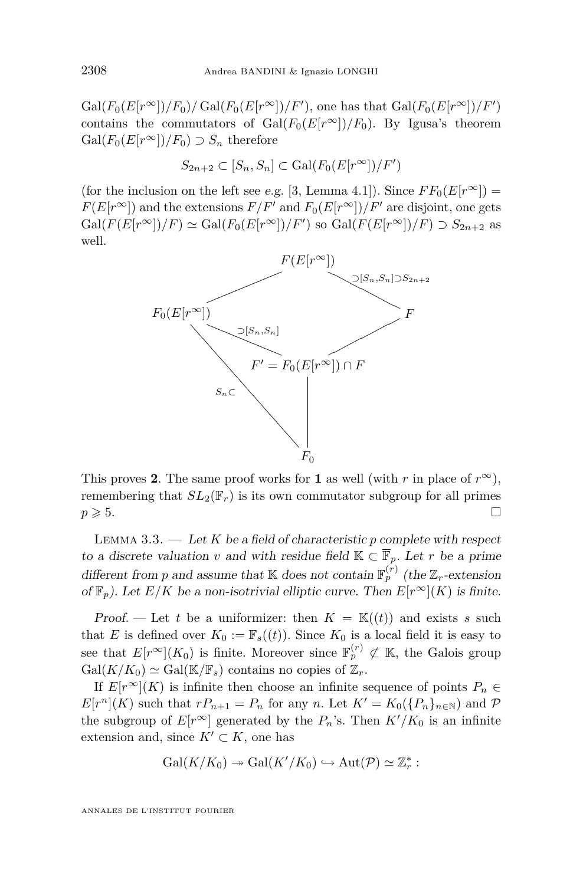<span id="page-8-0"></span> $Gal(F_0(E[r^\infty])/F_0)/ Gal(F_0(E[r^\infty])/F'),$  one has that  $Gal(F_0(E[r^\infty])/F')$ contains the commutators of  $Gal(F_0(E[r^\infty])/F_0)$ . By Igusa's theorem  $Gal(F_0(E[r^\infty])/F_0) \supset S_n$  therefore

$$
S_{2n+2} \subset [S_n, S_n] \subset \text{Gal}(F_0(E[r^\infty])/F')
$$

(for the inclusion on the left see e.g. [\[3,](#page-26-0) Lemma 4.1]). Since  $FF_0(E[r^\infty])$  =  $F(E[r^{\infty}])$  and the extensions  $F/F'$  and  $F_0(E[r^{\infty}])/F'$  are disjoint, one gets  $Gal(F(E[r^{\infty}])/F) \simeq Gal(F_0(E[r^{\infty}])/F')$  so  $Gal(F(E[r^{\infty}])/F) \supset S_{2n+2}$  as well.



This proves 2. The same proof works for 1 as well (with *r* in place of  $r^{\infty}$ ), remembering that  $SL_2(\mathbb{F}_r)$  is its own commutator subgroup for all primes  $p \geqslant 5.$ 

LEMMA 3.3.  $-$  Let K be a field of characteristic p complete with respect to a discrete valuation *v* and with residue field  $K \subset \overline{\mathbb{F}}_p$ . Let *r* be a prime different from *p* and assume that K does not contain  $\mathbb{F}_p^{(r)}$  (the  $\mathbb{Z}_r$ -extension of  $\mathbb{F}_p$ ). Let  $E/K$  be a non-isotrivial elliptic curve. Then  $E[r^{\infty}](K)$  is finite.

Proof. — Let *t* be a uniformizer: then  $K = \mathbb{K}(t)$  and exists *s* such that *E* is defined over  $K_0 := \mathbb{F}_s((t))$ . Since  $K_0$  is a local field it is easy to see that  $E[r^{\infty}](K_0)$  is finite. Moreover since  $\mathbb{F}_p^{(r)} \not\subset \mathbb{K}$ , the Galois group  $Gal(K/K_0) \simeq Gal(K/\mathbb{F}_s)$  contains no copies of  $\mathbb{Z}_r$ .

If  $E[r^{\infty}](K)$  is infinite then choose an infinite sequence of points  $P_n \in$  $E[r^{n}](K)$  such that  $rP_{n+1} = P_n$  for any *n*. Let  $K' = K_0({P_n}_{n \in \mathbb{N}})$  and  $P$ the subgroup of  $E[r^{\infty}]$  generated by the  $P_n$ 's. Then  $K'/K_0$  is an infinite extension and, since  $K' \subset K$ , one has

$$
\mathrm{Gal}(K/K_0)\twoheadrightarrow \mathrm{Gal}(K'/K_0)\hookrightarrow \mathrm{Aut}(\mathcal{P})\simeq \mathbb{Z}_r^*:
$$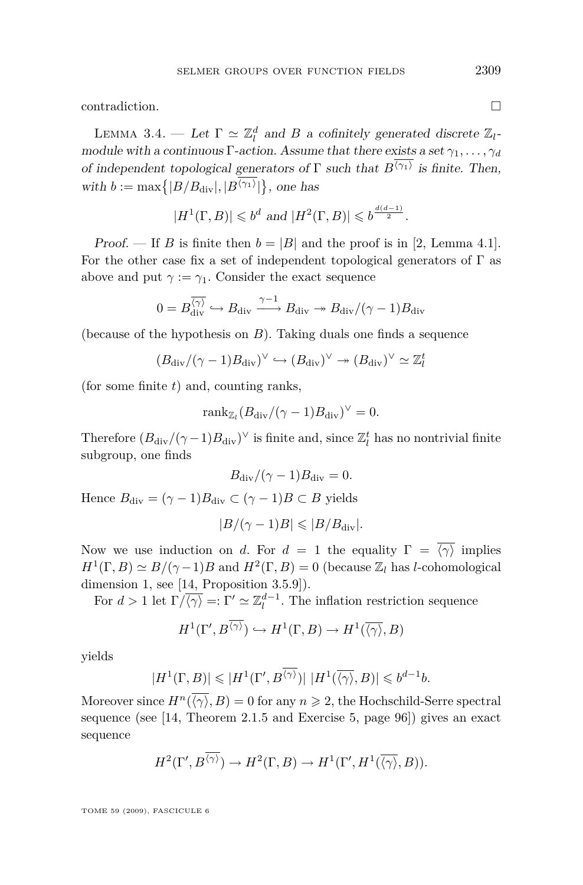<span id="page-9-0"></span>contradiction.

LEMMA 3.4. — Let  $\Gamma \simeq \mathbb{Z}_l^d$  and *B* a cofinitely generated discrete  $\mathbb{Z}_l$ module with a continuous Γ-action. Assume that there exists a set *γ*1*, . . . , γ<sup>d</sup>* of independent topological generators of  $\Gamma$  such that  $B^{(\gamma_1)}$  is finite. Then, with  $b := \max\{|B/B_{\text{div}}|, |B^{\langle \gamma_1 \rangle}|\}$ , one has

$$
|H^1(\Gamma, B)| \leqslant b^d \text{ and } |H^2(\Gamma, B)| \leqslant b^{\frac{d(d-1)}{2}}.
$$

Proof. — If *B* is finite then  $b = |B|$  and the proof is in [\[2,](#page-26-0) Lemma 4.1]. For the other case fix a set of independent topological generators of  $\Gamma$  as above and put  $\gamma := \gamma_1$ . Consider the exact sequence

$$
0 = B_{\rm div}^{\overline{\langle \gamma \rangle}} \hookrightarrow B_{\rm div} \xrightarrow{\gamma -1} B_{\rm div} \twoheadrightarrow B_{\rm div} / (\gamma - 1) B_{\rm div}
$$

(because of the hypothesis on *B*). Taking duals one finds a sequence

$$
(B_{\text{div}}/(\gamma - 1)B_{\text{div}})^{\vee} \hookrightarrow (B_{\text{div}})^{\vee} \twoheadrightarrow (B_{\text{div}})^{\vee} \simeq \mathbb{Z}_l^t
$$

(for some finite *t*) and, counting ranks,

$$
\mathrm{rank}_{\mathbb{Z}_l}(B_{\mathrm{div}}/(\gamma-1)B_{\mathrm{div}})^\vee=0.
$$

Therefore  $(B_{\text{div}}/(\gamma-1)B_{\text{div}})^{\vee}$  is finite and, since  $\mathbb{Z}_{l}^{t}$  has no nontrivial finite subgroup, one finds

$$
B_{\rm div}/(\gamma - 1)B_{\rm div} = 0.
$$

Hence  $B_{\text{div}} = (\gamma - 1)B_{\text{div}} \subset (\gamma - 1)B \subset B$  yields

$$
|B/(\gamma - 1)B| \leqslant |B/B_{\text{div}}|.
$$

Now we use induction on *d*. For  $d = 1$  the equality  $\Gamma = \overline{\langle \gamma \rangle}$  implies  $H^1(\Gamma, B) \simeq B/(\gamma - 1)B$  and  $H^2(\Gamma, B) = 0$  (because  $\mathbb{Z}_l$  has *l*-cohomological dimension 1, see [\[14,](#page-27-0) Proposition 3.5.9]).

For  $d > 1$  let  $\Gamma/\overline{\langle \gamma \rangle} =: \Gamma' \simeq \mathbb{Z}_l^{d-1}$ . The inflation restriction sequence

$$
H^1(\Gamma', B^{\overline{\langle \gamma \rangle}}) \hookrightarrow H^1(\Gamma, B) \to H^1(\overline{\langle \gamma \rangle}, B)
$$

yields

$$
|H^1(\Gamma, B)| \leqslant |H^1(\Gamma', B^{\overline{\langle \gamma \rangle}})| \, |H^1(\overline{\langle \gamma \rangle}, B)| \leqslant b^{d-1}b.
$$

Moreover since  $H^n(\langle \gamma \rangle, B) = 0$  for any  $n \ge 2$ , the Hochschild-Serre spectral sequence (see [\[14,](#page-27-0) Theorem 2.1.5 and Exercise 5, page 96]) gives an exact sequence

$$
H^2(\Gamma', B^{\overline{\langle \gamma \rangle}}) \to H^2(\Gamma, B) \to H^1(\Gamma', H^1(\overline{\langle \gamma \rangle}, B)).
$$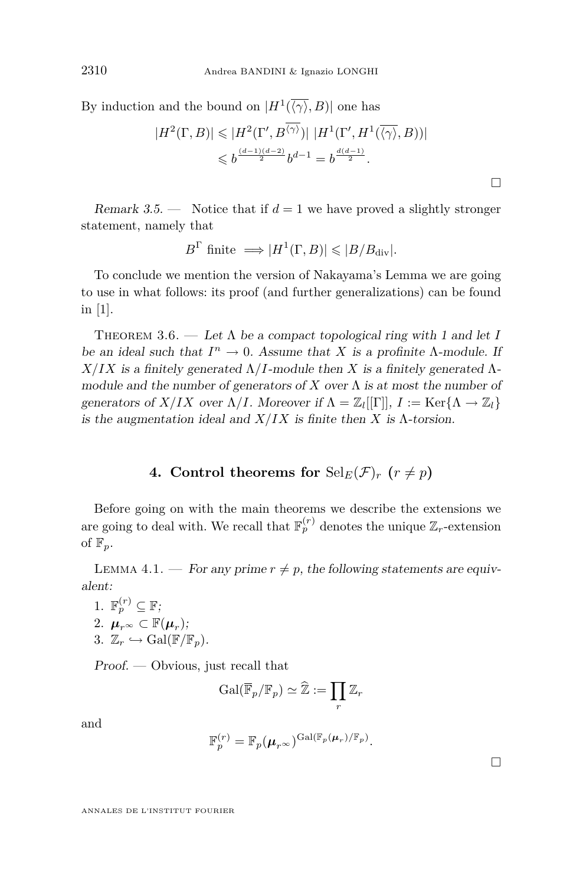<span id="page-10-0"></span>By induction and the bound on  $|H^1(\langle \gamma \rangle, B)|$  one has

$$
|H^2(\Gamma, B)| \leqslant |H^2(\Gamma', B^{\overline{\langle \gamma \rangle}})| \, |H^1(\Gamma', H^1(\overline{\langle \gamma \rangle}, B))|
$$
  

$$
\leqslant b^{\frac{(d-1)(d-2)}{2}} b^{d-1} = b^{\frac{d(d-1)}{2}}.
$$

Remark 3.5.  $\longrightarrow$  Notice that if  $d=1$  we have proved a slightly stronger statement, namely that

$$
B^{\Gamma}
$$
 finite  $\Longrightarrow$   $|H^{1}(\Gamma, B)| \leq |B/B_{div}|$ .

To conclude we mention the version of Nakayama's Lemma we are going to use in what follows: its proof (and further generalizations) can be found in [\[1\]](#page-26-0).

THEOREM 3.6. — Let  $\Lambda$  be a compact topological ring with 1 and let I be an ideal such that  $I^n \to 0$ . Assume that *X* is a profinite *Λ*-module. If  $X/IX$  is a finitely generated  $\Lambda/I$ -module then X is a finitely generated  $\Lambda$ module and the number of generators of  $X$  over  $\Lambda$  is at most the number of generators of *X*/*IX* over  $\Lambda$ /*I*. Moreover if  $\Lambda = \mathbb{Z}_l[[\Gamma]], I := \text{Ker}\{\Lambda \to \mathbb{Z}_l\}$ is the augmentation ideal and  $X/IX$  is finite then X is  $\Lambda$ -torsion.

#### **4.** Control theorems for  $\text{Sel}_E(\mathcal{F})_r$  ( $r \neq p$ )

Before going on with the main theorems we describe the extensions we are going to deal with. We recall that  $\mathbb{F}_p^{(r)}$  denotes the unique  $\mathbb{Z}_r$ -extension of  $\mathbb{F}_p$ .

LEMMA 4.1. — For any prime  $r \neq p$ , the following statements are equivalent:

1.  $\mathbb{F}_p^{(r)} \subseteq \mathbb{F}$ ; 2.  $\mu_{r^{\infty}} \subset \mathbb{F}(\mu_{r});$ 3.  $\mathbb{Z}_r \hookrightarrow \text{Gal}(\mathbb{F}/\mathbb{F}_n)$ .

Proof. — Obvious, just recall that

$$
\mathrm{Gal}(\overline{\mathbb{F}}_p/\mathbb{F}_p) \simeq \widehat{\mathbb{Z}} := \prod_r \mathbb{Z}_r
$$

and

$$
\mathbb{F}_p^{(r)} = \mathbb{F}_p(\boldsymbol{\mu}_{r^{\infty}})^{\mathrm{Gal}(\mathbb{F}_p(\boldsymbol{\mu}_r)/\mathbb{F}_p)}.
$$

 $\Box$ 

 $\Box$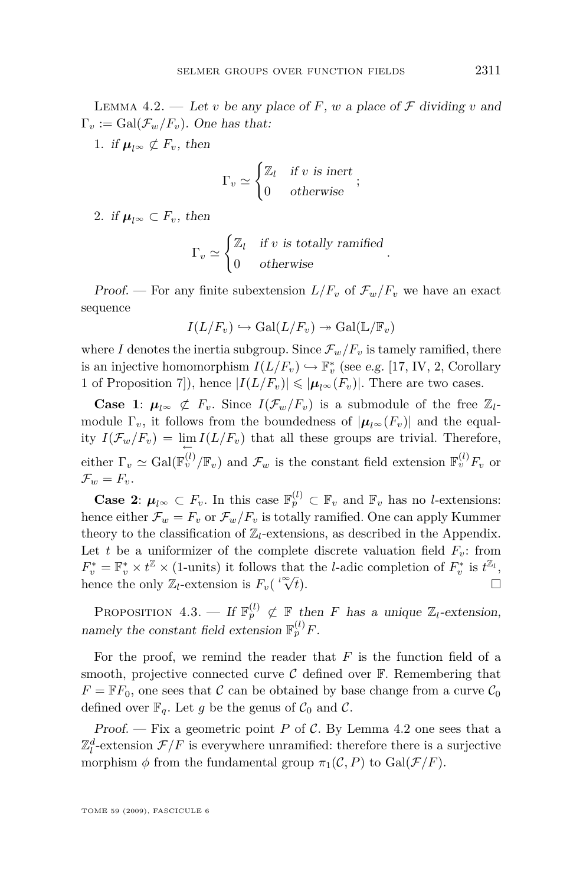<span id="page-11-0"></span>LEMMA 4.2. — Let *v* be any place of *F*, *w* a place of *F* dividing *v* and  $\Gamma_v := \text{Gal}(\mathcal{F}_w/F_v)$ . One has that:

1. if  $\mu_{l^{\infty}} \not\subset F_v$ , then

$$
\Gamma_v \simeq \begin{cases} \mathbb{Z}_l & \text{if } v \text{ is inert} \\ 0 & \text{otherwise} \end{cases};
$$

2. if  $\mu_{l^{\infty}} \subset F_v$ , then

$$
\Gamma_v \simeq \begin{cases} \mathbb{Z}_l & \text{if } v \text{ is totally ramified} \\ 0 & \text{otherwise} \end{cases}.
$$

Proof. — For any finite subextension  $L/F_v$  of  $\mathcal{F}_w/F_v$  we have an exact sequence

$$
I(L/F_v) \hookrightarrow \mathrm{Gal}(L/F_v) \twoheadrightarrow \mathrm{Gal}(\mathbb{L}/\mathbb{F}_v)
$$

where *I* denotes the inertia subgroup. Since  $\mathcal{F}_w/F_v$  is tamely ramified, there is an injective homomorphism  $I(L/F_v) \hookrightarrow \mathbb{F}_v^*$  (see e.g. [\[17,](#page-27-0) IV, 2, Corollary 1 of Proposition 7]), hence  $|I(L/F_v)| \leq |\mu_{l^{\infty}}(F_v)|$ . There are two cases.

**Case 1:**  $\mu_{l^{\infty}} \not\subset F_v$ . Since  $I(\mathcal{F}_w/F_v)$  is a submodule of the free  $\mathbb{Z}_l$ module  $\Gamma_v$ , it follows from the boundedness of  $|\mu_{l}(\mathcal{F}_v)|$  and the equality  $I(\mathcal{F}_w/F_v) = \lim_{\leftarrow} I(L/F_v)$  that all these groups are trivial. Therefore, either  $\Gamma_v \simeq \text{Gal}(\mathbb{F}_v^{(l)} / \mathbb{F}_v)$  and  $\mathcal{F}_w$  is the constant field extension  $\mathbb{F}_v^{(l)} F_v$  or  $\mathcal{F}_w = F_w$ .

**Case 2:**  $\mu_{l^{\infty}} \subset F_v$ . In this case  $\mathbb{F}_p^{(l)} \subset \mathbb{F}_v$  and  $\mathbb{F}_v$  has no *l*-extensions: hence either  $\mathcal{F}_w = F_v$  or  $\mathcal{F}_w/F_v$  is totally ramified. One can apply Kummer theory to the classification of  $\mathbb{Z}_l$ -extensions, as described in the Appendix. Let *t* be a uniformizer of the complete discrete valuation field  $F_v$ : from  $F_v^* = \mathbb{F}_v^* \times t^{\mathbb{Z}} \times (1$ -units) it follows that the *l*-adic completion of  $F_v^*$  is  $t^{\mathbb{Z}_l}$ ,  $F_v = \mathbb{F}_v \times t \times (1-\text{units})$  it follows the only  $\mathbb{Z}_l$ -extension is  $F_v\left(\sqrt[l]{\mathcal{N}}\right)$  $\overline{t}$ ).

PROPOSITION 4.3. — If  $\mathbb{F}_p^{(l)} \not\subset \mathbb{F}$  then *F* has a unique  $\mathbb{Z}_l$ -extension, namely the constant field extension  $\mathbb{F}_p^{(l)}F$ .

For the proof, we remind the reader that *F* is the function field of a smooth, projective connected curve  $\mathcal C$  defined over  $\mathbb F$ . Remembering that  $F = \mathbb{F}F_0$ , one sees that *C* can be obtained by base change from a curve  $C_0$ defined over  $\mathbb{F}_q$ . Let g be the genus of  $\mathcal{C}_0$  and  $\mathcal{C}$ .

Proof. — Fix a geometric point *P* of *C*. By Lemma [4.2](#page-10-0) one sees that a  $\mathbb{Z}_l^d$ -extension  $\mathcal{F}/F$  is everywhere unramified: therefore there is a surjective morphism  $\phi$  from the fundamental group  $\pi_1(\mathcal{C}, P)$  to  $Gal(\mathcal{F}/F)$ .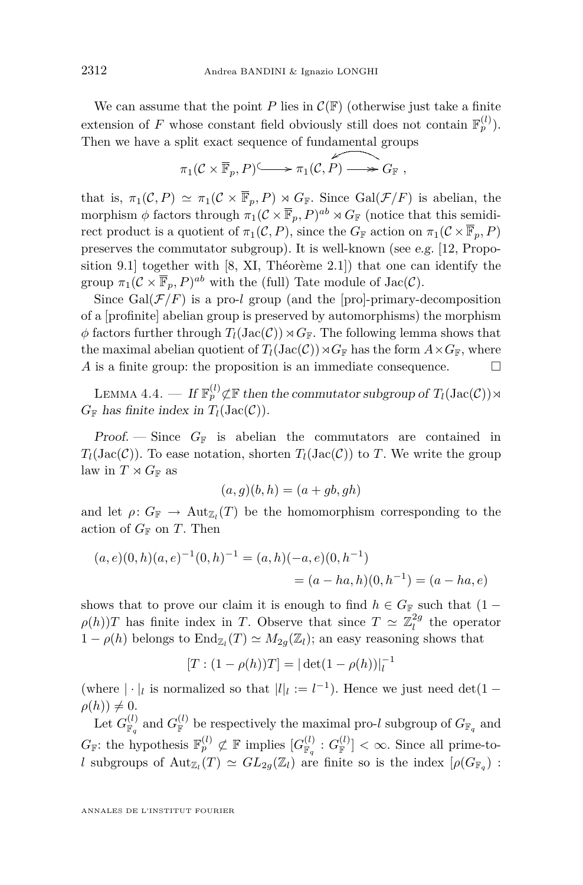We can assume that the point *P* lies in  $\mathcal{C}(\mathbb{F})$  (otherwise just take a finite extension of *F* whose constant field obviously still does not contain  $\mathbb{F}_p^{(l)}$ . Then we have a split exact sequence of fundamental groups

$$
\pi_1(\mathcal{C}\times\overline{\mathbb{F}}_p,P)\longrightarrow \pi_1(\mathcal{C},P)\longrightarrow G_{\mathbb{F}},
$$

that is,  $\pi_1(\mathcal{C}, P) \simeq \pi_1(\mathcal{C} \times \overline{\mathbb{F}}_p, P) \rtimes G_{\mathbb{F}}$ . Since Gal( $\mathcal{F}/F$ ) is abelian, the morphism  $\phi$  factors through  $\pi_1(C \times \overline{\mathbb{F}}_p, P)^{ab} \rtimes G_{\mathbb{F}}$  (notice that this semidirect product is a quotient of  $\pi_1(\mathcal{C}, P)$ , since the  $G_F$  action on  $\pi_1(\mathcal{C} \times \overline{\mathbb{F}}_p, P)$ preserves the commutator subgroup). It is well-known (see e.g. [\[12,](#page-26-0) Proposition 9.1] together with [\[8,](#page-26-0) XI, Théorème 2.1]) that one can identify the group  $\pi_1(\mathcal{C} \times \overline{\mathbb{F}}_p, P)^{ab}$  with the (full) Tate module of  $\text{Jac}(\mathcal{C})$ .

Since  $Gal(\mathcal{F}/F)$  is a pro-*l* group (and the [pro]-primary-decomposition of a [profinite] abelian group is preserved by automorphisms) the morphism  $\phi$  factors further through  $T_l(\text{Jac}(\mathcal{C})) \rtimes G_F$ . The following lemma shows that the maximal abelian quotient of  $T_l(\text{Jac}(\mathcal{C})) \rtimes G_F$  has the form  $A \times G_F$ , where *A* is a finite group: the proposition is an immediate consequence.  $\Box$ 

LEMMA 4.4. — If  $\mathbb{F}_p^{(l)}$  $\not\subset$  **F** then the commutator subgroup of  $T_l(\text{Jac}(\mathcal{C})) \rtimes$  $G_F$  has finite index in  $T_l(\text{Jac}(\mathcal{C}))$ .

Proof.  $\sim$  Since  $G_F$  is abelian the commutators are contained in  $T_l(\text{Jac}(\mathcal{C}))$ . To ease notation, shorten  $T_l(\text{Jac}(\mathcal{C}))$  to *T*. We write the group law in  $T \rtimes G_{\mathbb{F}}$  as

$$
(a,g)(b,h) = (a+gb,gh)
$$

and let  $\rho: G_{\mathbb{F}} \to \text{Aut}_{\mathbb{Z}_l}(T)$  be the homomorphism corresponding to the action of  $G_F$  on *T*. Then

$$
(a, e)(0, h)(a, e)^{-1}(0, h)^{-1} = (a, h)(-a, e)(0, h^{-1})
$$
  
=  $(a - ha, h)(0, h^{-1}) = (a - ha, e)$ 

shows that to prove our claim it is enough to find  $h \in G_F$  such that  $(1 \rho(h)$ *T* has finite index in *T*. Observe that since  $T \simeq \mathbb{Z}_l^{2g}$  the operator  $1 − ρ(h)$  belongs to  $\text{End}_{\mathbb{Z}_l}(T) \simeq M_{2g}(\mathbb{Z}_l)$ ; an easy reasoning shows that

$$
[T:(1-\rho(h))T]=|\det(1-\rho(h))|_l^{-1}
$$

(where  $|\cdot|_l$  is normalized so that  $|l|_l := l^{-1}$ ). Hence we just need det(1 –  $\rho(h)$ )  $\neq 0$ .

Let  $G_{\mathbb{F}_q}^{(l)}$  and  $G_{\mathbb{F}}^{(l)}$  be respectively the maximal pro-*l* subgroup of  $G_{\mathbb{F}_q}$  and  $G_{\mathbb{F}}$ : the hypothesis  $\mathbb{F}_p^{(l)} \not\subset \mathbb{F}$  implies  $[G_{\mathbb{F}_q}^{(l)} : G_{\mathbb{F}}^{(l)}] < \infty$ . Since all prime-to*l* subgroups of  $\text{Aut}_{\mathbb{Z}_l}(T) \simeq GL_{2g}(\mathbb{Z}_l)$  are finite so is the index  $[\rho(G_{\mathbb{F}_q})$ :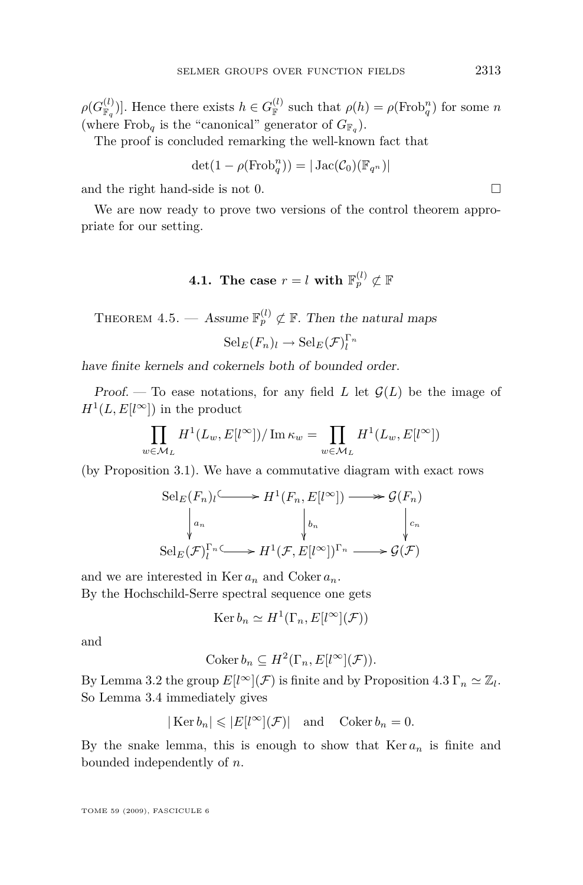<span id="page-13-0"></span> $\rho(G_{\mathbb{F}_q}^{(l)})$ . Hence there exists  $h \in G_{\mathbb{F}}^{(l)}$  such that  $\rho(h) = \rho(\text{Frob}_q^n)$  for some *n* (where Frob<sub>q</sub> is the "canonical" generator of  $G_{\mathbb{F}_q}$ ).

The proof is concluded remarking the well-known fact that

$$
\det(1-\rho(\text{Frob}_q^n)) = |\operatorname{Jac}(\mathcal{C}_0)(\mathbb{F}_{q^n})|
$$

and the right hand-side is not 0.  $\Box$ 

We are now ready to prove two versions of the control theorem appropriate for our setting.

### $\textbf{4.1.} \ \ \textbf{The case} \ \ r=l \ \textbf{with} \ \ \mathbb{F}_p^{(l)} \not\subset \mathbb{F}_p^{(l)}$

THEOREM 4.5. — Assume  $\mathbb{F}_p^{(l)} \not\subset \mathbb{F}$ . Then the natural maps  $\operatorname{Sel}_{E}(F_n)_{l} \to \operatorname{Sel}_{E}(\mathcal{F})_{l}^{\Gamma_n}$ 

have finite kernels and cokernels both of bounded order.

Proof. — To ease notations, for any field *L* let  $\mathcal{G}(L)$  be the image of  $H^1(L, E[l^{\infty}])$  in the product

$$
\prod_{w \in \mathcal{M}_L} H^1(L_w, E[l^{\infty}]) / \operatorname{Im} \kappa_w = \prod_{w \in \mathcal{M}_L} H^1(L_w, E[l^{\infty}])
$$

(by Proposition [3.1\)](#page-7-0). We have a commutative diagram with exact rows

$$
\operatorname{Sel}_E(F_n)_l \longrightarrow H^1(F_n, E[l^{\infty}]) \longrightarrow \mathcal{G}(F_n)
$$

$$
\downarrow a_n \qquad \qquad \downarrow b_n \qquad \qquad \downarrow c_n
$$

$$
\operatorname{Sel}_E(\mathcal{F})_l^{\Gamma_n} \longrightarrow H^1(\mathcal{F}, E[l^{\infty}])^{\Gamma_n} \longrightarrow \mathcal{G}(\mathcal{F})
$$

and we are interested in  $\text{Ker }a_n$  and  $\text{Coker }a_n$ .

By the Hochschild-Serre spectral sequence one gets

$$
Ker b_n \simeq H^1(\Gamma_n, E[l^{\infty}](\mathcal{F}))
$$

and

$$
Coker b_n \subseteq H^2(\Gamma_n, E[l^{\infty}](\mathcal{F})).
$$

By Lemma [3.2](#page-7-0) the group  $E[l^{\infty}](\mathcal{F})$  is finite and by Proposition [4.3](#page-11-0)  $\Gamma_n \simeq \mathbb{Z}_l$ . So Lemma [3.4](#page-9-0) immediately gives

$$
|\text{Ker } b_n| \leqslant |E[l^{\infty}](\mathcal{F})|
$$
 and Coker  $b_n = 0$ .

By the snake lemma, this is enough to show that  $Ker a_n$  is finite and bounded independently of *n*.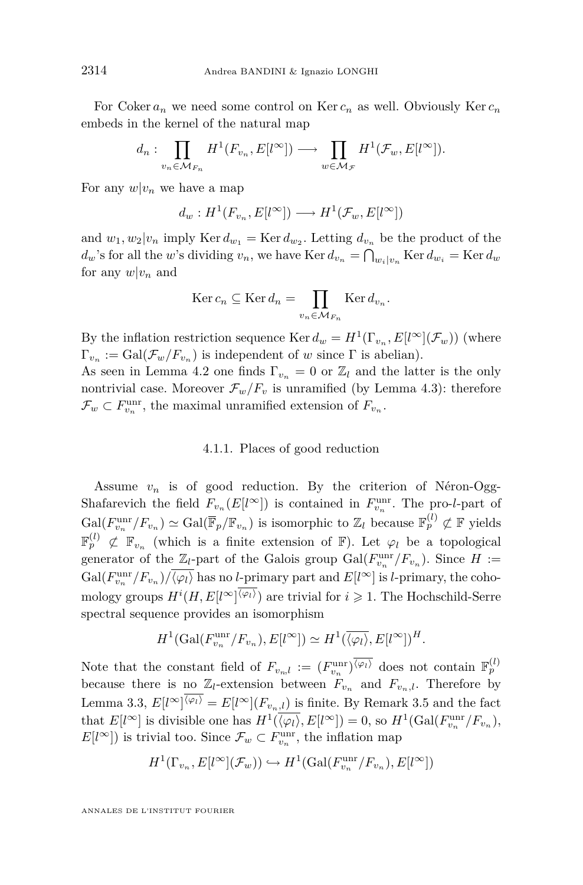For Coker  $a_n$  we need some control on Ker  $c_n$  as well. Obviously Ker  $c_n$ embeds in the kernel of the natural map

$$
d_n: \prod_{v_n \in \mathcal{M}_{F_n}} H^1(F_{v_n}, E[l^{\infty}]) \longrightarrow \prod_{w \in \mathcal{M}_{\mathcal{F}}} H^1(\mathcal{F}_w, E[l^{\infty}]).
$$

For any  $w|v_n$  we have a map

$$
d_w: H^1(F_{v_n}, E[l^{\infty}]) \longrightarrow H^1(\mathcal{F}_w, E[l^{\infty}])
$$

and  $w_1, w_2 | v_n$  imply Ker  $d_{w_1} = \text{Ker } d_{w_2}$ . Letting  $d_{v_n}$  be the product of the *d*<sup>*w*</sup>'s for all the *w*'s dividing *v*<sub>*n*</sub>, we have Ker  $d_{v_n} = \bigcap_{w_i \mid v_n}$  Ker  $d_{w_i} =$  Ker  $d_w$ for any  $w|v_n$  and

$$
\operatorname{Ker} c_n \subseteq \operatorname{Ker} d_n = \prod_{v_n \in \mathcal{M}_{F_n}} \operatorname{Ker} d_{v_n}.
$$

By the inflation restriction sequence  $\text{Ker } d_w = H^1(\Gamma_{v_n}, E[l^{\infty}](\mathcal{F}_w))$  (where  $\Gamma_{v_n} := \text{Gal}(\mathcal{F}_w/F_{v_n})$  is independent of *w* since  $\Gamma$  is abelian).

As seen in Lemma [4.2](#page-10-0) one finds  $\Gamma_{v_n} = 0$  or  $\mathbb{Z}_l$  and the latter is the only nontrivial case. Moreover  $\mathcal{F}_w/F_v$  is unramified (by Lemma [4.3\)](#page-11-0): therefore  $\mathcal{F}_w \subset F_{v_n}^{\text{unr}}$ , the maximal unramified extension of  $F_{v_n}$ .

#### 4.1.1. Places of good reduction

Assume  $v_n$  is of good reduction. By the criterion of Néron-Ogg-Shafarevich the field  $F_{v_n}(E[l^{\infty}])$  is contained in  $F_{v_n}^{\text{unr}}$ . The pro-*l*-part of  $Gal(F_{v_n}^{\text{unr}}/F_{v_n}) \simeq Gal(\overline{\mathbb{F}}_p/\mathbb{F}_{v_n})$  is isomorphic to  $\mathbb{Z}_l$  because  $\mathbb{F}_p^{(l)} \not\subset \mathbb{F}$  yields  $\mathbb{F}_p^{(l)} \not\subset \mathbb{F}_{v_n}$  (which is a finite extension of  $\mathbb{F}$ ). Let  $\varphi_l$  be a topological generator of the  $\mathbb{Z}_l$ -part of the Galois group  $Gal(F_{v_n}^{\text{unr}}/F_{v_n})$ . Since  $H :=$  $Gal(F_{v_n}^{\text{unr}}/F_{v_n})/\overline{\langle \varphi_l \rangle}$  has no *l*-primary part and  $E[l^{\infty}]$  is *l*-primary, the cohomology groups  $H^{i}(H, E[{\iota}^{\infty}]^{\langle \varphi_l \rangle})$  are trivial for  $i \geqslant 1$ . The Hochschild-Serre spectral sequence provides an isomorphism

$$
H^1(\text{Gal}(F_{v_n}^{\text{unr}}/F_{v_n}), E[l^{\infty}]) \simeq H^1(\overline{\langle \varphi_l \rangle}, E[l^{\infty}])^H.
$$

Note that the constant field of  $F_{v_n,l} := (F_{v_n}^{\text{unr}})^{\overline{\langle \varphi_l \rangle}}$  does not contain  $\mathbb{F}_p^{(l)}$ because there is no  $\mathbb{Z}_l$ -extension between  $F_{v_n}$  and  $F_{v_n,l}$ . Therefore by Lemma [3.3,](#page-8-0)  $E[l^{\infty}]^{\langle \varphi_l \rangle} = E[l^{\infty}] (F_{v_n,l})$  is finite. By Remark [3.5](#page-10-0) and the fact that  $E[l^{\infty}]$  is divisible one has  $H^1(\overline{\langle \varphi_l \rangle}, E[l^{\infty}]) = 0$ , so  $H^1(\text{Gal}(F_{v_n}^{\text{unr}}/F_{v_n}),$  $E[l^{\infty}]$ ) is trivial too. Since  $\mathcal{F}_w \subset F_{v_n}^{\text{unr}}$ , the inflation map

$$
H^1(\Gamma_{v_n}, E[l^{\infty}](\mathcal{F}_w)) \hookrightarrow H^1(\text{Gal}(F_{v_n}^{\text{unr}}/F_{v_n}), E[l^{\infty}])
$$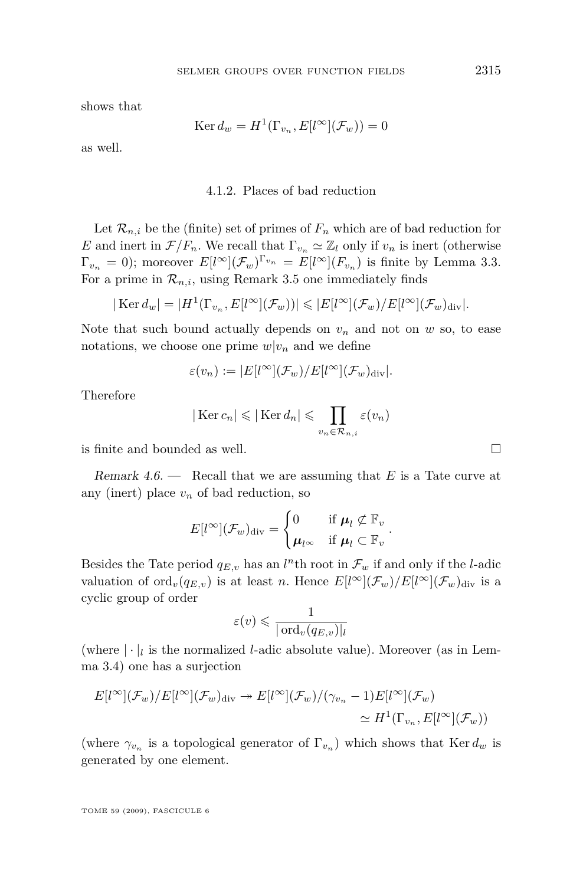<span id="page-15-0"></span>shows that

$$
\operatorname{Ker} d_w = H^1(\Gamma_{v_n}, E[l^{\infty}](\mathcal{F}_w)) = 0
$$

as well.

#### 4.1.2. Places of bad reduction

Let  $\mathcal{R}_{n,i}$  be the (finite) set of primes of  $F_n$  which are of bad reduction for *E* and inert in  $\mathcal{F}/F_n$ . We recall that  $\Gamma_{v_n} \simeq \mathbb{Z}_l$  only if  $v_n$  is inert (otherwise  $\Gamma_{v_n} = 0$ ); moreover  $E[l^{\infty}](\mathcal{F}_w)^{\Gamma_{v_n}} = E[l^{\infty}](F_{v_n})$  is finite by Lemma [3.3.](#page-8-0) For a prime in  $\mathcal{R}_{n,i}$ , using Remark [3.5](#page-10-0) one immediately finds

$$
|\text{Ker } d_w| = |H^1(\Gamma_{v_n}, E[l^{\infty}](\mathcal{F}_w))| \leq |E[l^{\infty}](\mathcal{F}_w)/E[l^{\infty}](\mathcal{F}_w)_{\text{div}}|.
$$

Note that such bound actually depends on  $v_n$  and not on  $w$  so, to ease notations, we choose one prime  $w|v_n$  and we define

$$
\varepsilon(v_n) := |E[l^{\infty}](\mathcal{F}_w)/E[l^{\infty}](\mathcal{F}_w)_{\text{div}}|.
$$

Therefore

$$
|\text{Ker }c_n| \leq |\text{Ker }d_n| \leq \prod_{v_n \in \mathcal{R}_{n,i}} \varepsilon(v_n)
$$

is finite and bounded as well.

Remark 4.6. — Recall that we are assuming that *E* is a Tate curve at any (inert) place  $v_n$  of bad reduction, so

$$
E[l^{\infty}](\mathcal{F}_w)_{\text{div}} = \begin{cases} 0 & \text{if } \boldsymbol{\mu}_l \not\subset \mathbb{F}_v \\ \boldsymbol{\mu}_{l^{\infty}} & \text{if } \boldsymbol{\mu}_l \subset \mathbb{F}_v \end{cases}.
$$

Besides the Tate period  $q_{E,v}$  has an *l*<sup>n</sup>th root in  $\mathcal{F}_w$  if and only if the *l*-adic valuation of ord<sub>*v*</sub>( $q_{E,v}$ ) is at least *n*. Hence  $E[l^{\infty}](\mathcal{F}_w)/E[l^{\infty}](\mathcal{F}_w)_{div}$  is a cyclic group of order

$$
\varepsilon(v) \leq \frac{1}{|\operatorname{ord}_v(q_{E,v})|_l}
$$

(where  $|\cdot|_l$  is the normalized *l*-adic absolute value). Moreover (as in Lemma [3.4\)](#page-9-0) one has a surjection

$$
E[l^{\infty}](\mathcal{F}_w)/E[l^{\infty}](\mathcal{F}_w)_{\text{div}} \twoheadrightarrow E[l^{\infty}](\mathcal{F}_w)/(\gamma_{v_n} - 1)E[l^{\infty}](\mathcal{F}_w)
$$
  

$$
\simeq H^1(\Gamma_{v_n}, E[l^{\infty}](\mathcal{F}_w))
$$

(where  $\gamma_{v_n}$  is a topological generator of  $\Gamma_{v_n}$ ) which shows that Ker  $d_w$  is generated by one element.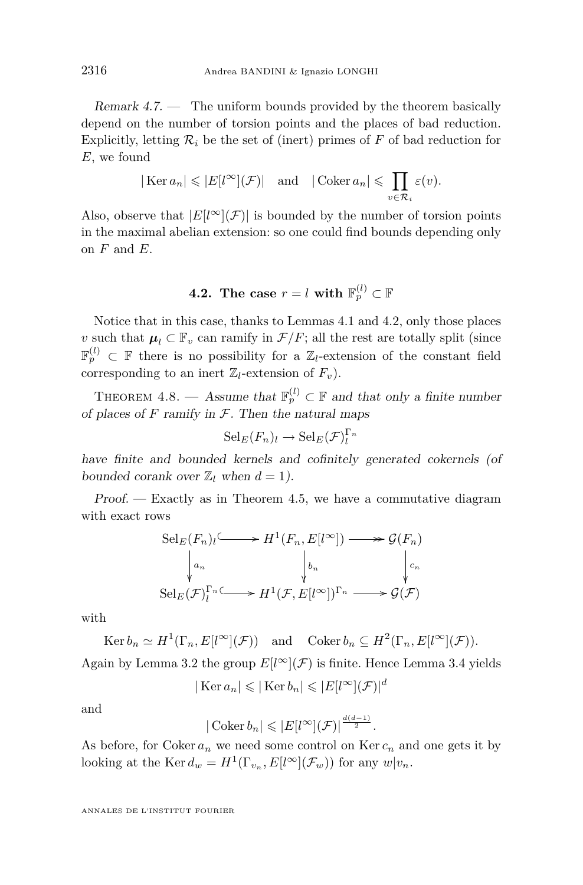<span id="page-16-0"></span>Remark  $4.7.$  — The uniform bounds provided by the theorem basically depend on the number of torsion points and the places of bad reduction. Explicitly, letting  $\mathcal{R}_i$  be the set of (inert) primes of F of bad reduction for *E*, we found

$$
|\text{Ker }a_n| \leqslant |E[l^{\infty}](\mathcal{F})|
$$
 and  $|\text{Coker }a_n| \leqslant \prod_{v \in \mathcal{R}_i} \varepsilon(v).$ 

Also, observe that  $|E[l^{\infty}](\mathcal{F})|$  is bounded by the number of torsion points in the maximal abelian extension: so one could find bounds depending only on *F* and *E*.

### $\textbf{4.2.} \ \ \textbf{The case} \ \ r=l \ \textbf{with} \ \ \mathbb{F}_p^{(l)} \subset \mathbb{F}_p^{(l)}$

Notice that in this case, thanks to Lemmas [4.1](#page-10-0) and [4.2,](#page-10-0) only those places *v* such that  $\mu_l \subset \mathbb{F}_v$  can ramify in  $\mathcal{F}/F$ ; all the rest are totally split (since  $\mathbb{F}_p^{(l)} \subset \mathbb{F}$  there is no possibility for a  $\mathbb{Z}_l$ -extension of the constant field corresponding to an inert  $\mathbb{Z}_l$ -extension of  $F_v$ ).

THEOREM 4.8. — Assume that  $\mathbb{F}_p^{(l)} \subset \mathbb{F}$  and that only a finite number of places of  $F$  ramify in  $F$ . Then the natural maps

$$
\mathrm{Sel}_E(F_n)_l \to \mathrm{Sel}_E(\mathcal{F})_l^{\Gamma_n}
$$

have finite and bounded kernels and cofinitely generated cokernels (of bounded corank over  $\mathbb{Z}_l$  when  $d = 1$ ).

 $Proof.$  — Exactly as in Theorem [4.5,](#page-13-0) we have a commutative diagram with exact rows

$$
\operatorname{Sel}_E(F_n)_l \longrightarrow H^1(F_n, E[l^{\infty}]) \longrightarrow \mathcal{G}(F_n)
$$
  
\n
$$
\downarrow_{a_n} \qquad \qquad \downarrow_{b_n} \qquad \qquad \downarrow_{c_n}
$$
  
\n
$$
\operatorname{Sel}_E(\mathcal{F})_l^{\Gamma_n} \longrightarrow H^1(\mathcal{F}, E[l^{\infty}])^{\Gamma_n} \longrightarrow \mathcal{G}(\mathcal{F})
$$

with

$$
\operatorname{Ker} b_n \simeq H^1(\Gamma_n, E[l^{\infty}](\mathcal{F})) \quad \text{and} \quad \operatorname{Coker} b_n \subseteq H^2(\Gamma_n, E[l^{\infty}](\mathcal{F})).
$$

Again by Lemma [3.2](#page-7-0) the group  $E[l^{\infty}](\mathcal{F})$  is finite. Hence Lemma [3.4](#page-9-0) yields

$$
|\text{Ker }a_n|\leqslant|\text{Ker }b_n|\leqslant|E[l^{\infty}](\mathcal{F})|^{d}
$$

and

$$
|\operatorname{Coker} b_n| \leqslant |E[l^{\infty}](\mathcal{F})|^{\frac{d(d-1)}{2}}.
$$

As before, for Coker  $a_n$  we need some control on Ker  $c_n$  and one gets it by looking at the Ker  $d_w = H^1(\Gamma_{v_n}, E[l^{\infty}](\mathcal{F}_w))$  for any  $w|v_n$ .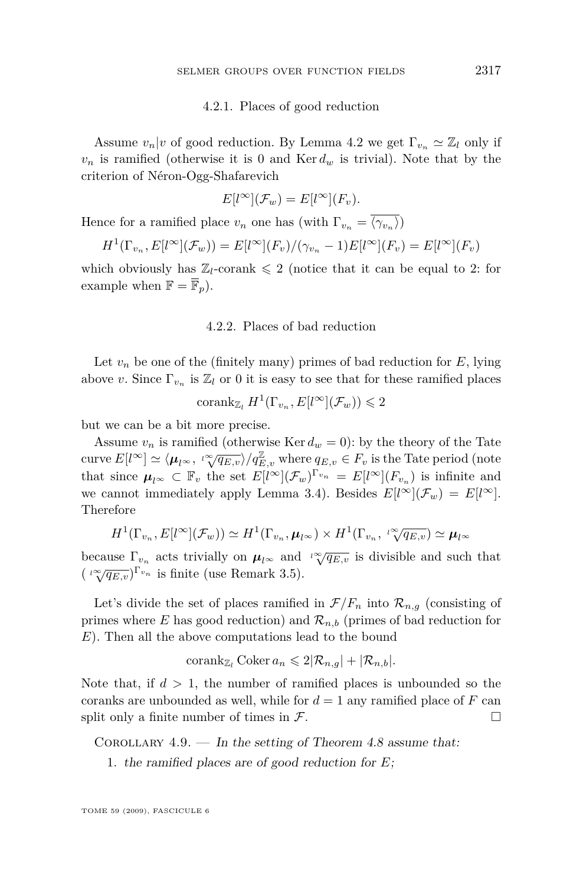#### 4.2.1. Places of good reduction

<span id="page-17-0"></span>Assume  $v_n|v$  of good reduction. By Lemma [4.2](#page-10-0) we get  $\Gamma_{v_n} \simeq \mathbb{Z}_l$  only if  $v_n$  is ramified (otherwise it is 0 and  $\text{Ker } d_w$  is trivial). Note that by the criterion of Néron-Ogg-Shafarevich

$$
E[l^{\infty}](\mathcal{F}_w) = E[l^{\infty}](F_v).
$$

Hence for a ramified place  $v_n$  one has (with  $\Gamma_{v_n} = \langle \gamma_{v_n} \rangle$ )

$$
H^1(\Gamma_{v_n}, E[l^{\infty}](\mathcal{F}_w)) = E[l^{\infty}](F_v)/(\gamma_{v_n} - 1)E[l^{\infty}](F_v) = E[l^{\infty}](F_v)
$$

which obviously has  $\mathbb{Z}_l$ -corank  $\leq 2$  (notice that it can be equal to 2: for example when  $\mathbb{F} = \overline{\mathbb{F}}_p$ .

#### 4.2.2. Places of bad reduction

Let  $v_n$  be one of the (finitely many) primes of bad reduction for  $E$ , lying above *v*. Since  $\Gamma_{v_n}$  is  $\mathbb{Z}_l$  or 0 it is easy to see that for these ramified places

$$
\operatorname{corank}_{\mathbb{Z}_l} H^1(\Gamma_{v_n}, E[l^{\infty}](\mathcal{F}_w)) \leq 2
$$

but we can be a bit more precise.

Assume  $v_n$  is ramified (otherwise Ker  $d_w = 0$ ): by the theory of the Tate curve  $E[l^{\infty}] \simeq \langle \mu_{l^{\infty}}, \sqrt[n]{q_{E,v}} \rangle / q_{E,v}^{\mathbb{Z}}$  where  $q_{E,v} \in F_v$  is the Tate period (note that since  $\mu_{l^{\infty}} \subset \mathbb{F}_v$  the set  $E[l^{\infty}](\mathcal{F}_w)^{\Gamma_{v_n}} = E[l^{\infty}](F_{v_n})$  is infinite and we cannot immediately apply Lemma [3.4\)](#page-9-0). Besides  $E[l^{\infty}](\mathcal{F}_w) = E[l^{\infty}]$ . Therefore

$$
H^{1}(\Gamma_{v_n}, E[l^{\infty}](\mathcal{F}_w)) \simeq H^{1}(\Gamma_{v_n}, \boldsymbol{\mu}_{l^{\infty}}) \times H^{1}(\Gamma_{v_n}, \sqrt[n]{q_{E,v}}) \simeq \boldsymbol{\mu}_{l^{\infty}}
$$

because  $\Gamma_{v_n}$  acts trivially on  $\mu_{l^{\infty}}$  and  $\sqrt[l]{q_{E,v}}$  is divisible and such that  $\left(\sqrt[n]{q_{E,v}}\right)^{\Gamma_{v_n}}$  is finite (use Remark [3.5\)](#page-10-0).

Let's divide the set of places ramified in  $\mathcal{F}/F_n$  into  $\mathcal{R}_{n,q}$  (consisting of primes where *E* has good reduction) and  $\mathcal{R}_{n,b}$  (primes of bad reduction for *E*). Then all the above computations lead to the bound

$$
\operatorname{corank}_{\mathbb{Z}_l} \operatorname{Coker} a_n \leqslant 2|\mathcal{R}_{n,g}| + |\mathcal{R}_{n,b}|.
$$

Note that, if  $d > 1$ , the number of ramified places is unbounded so the coranks are unbounded as well, while for  $d = 1$  any ramified place of  $F$  can split only a finite number of times in  $\mathcal{F}$ .

COROLLARY  $4.9.$  — In the setting of Theorem [4.8](#page-16-0) assume that:

1. the ramified places are of good reduction for *E*;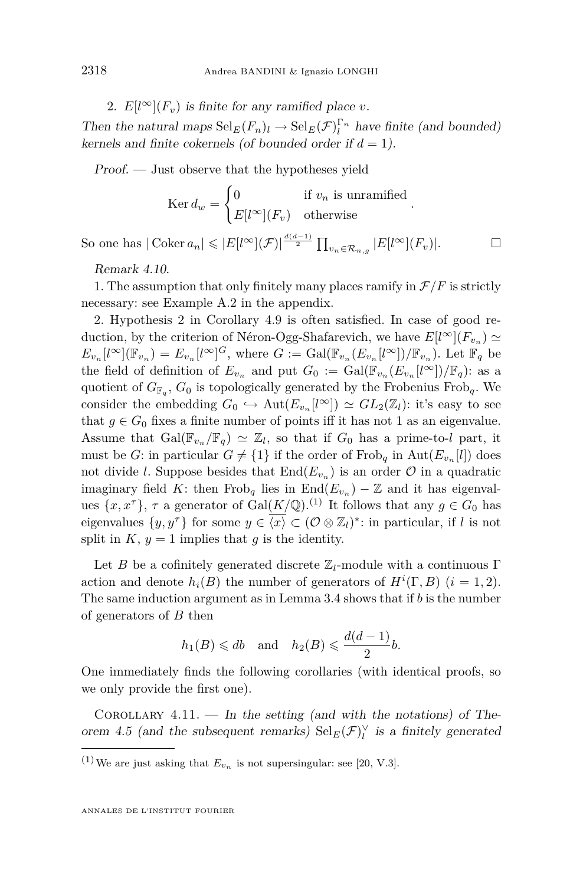2.  $E[l^{\infty}](F_v)$  is finite for any ramified place *v*.

Then the natural maps  $\text{Sel}_{E}(F_n)$ *l*  $\rightarrow$   $\text{Sel}_{E}(\mathcal{F})_l^{\Gamma_n}$  have finite (and bounded) kernels and finite cokernels (of bounded order if  $d = 1$ ).

Proof. — Just observe that the hypotheses yield

$$
\operatorname{Ker} d_w = \begin{cases} 0 & \text{if } v_n \text{ is unramified} \\ E[l^{\infty}](F_v) & \text{otherwise} \end{cases}
$$

*.*

So one has  $|\text{Coker }a_n| \leqslant |E[l^{\infty}](\mathcal{F})|^{\frac{d(d-1)}{2}} \prod_{v_n \in \mathcal{R}_{n,g}} |E[l^{\infty}](F_v)|.$ 

Remark 4.10.

1. The assumption that only finitely many places ramify in  $\mathcal{F}/F$  is strictly necessary: see Example [A.2](#page-26-0) in the appendix.

2. Hypothesis 2 in Corollary [4.9](#page-17-0) is often satisfied. In case of good reduction, by the criterion of Néron-Ogg-Shafarevich, we have  $E[l^{\infty}](F_{v_n}) \simeq$  $E_{v_n}[l^{\infty}](\mathbb{F}_{v_n}) = E_{v_n}[l^{\infty}]^G$ , where  $G := \text{Gal}(\mathbb{F}_{v_n}(E_{v_n}[l^{\infty}])/\mathbb{F}_{v_n})$ . Let  $\mathbb{F}_q$  be the field of definition of  $E_{v_n}$  and put  $G_0 := \text{Gal}(\mathbb{F}_{v_n}(E_{v_n}[l^{\infty}])/\mathbb{F}_q)$ : as a quotient of *G*<sup>F</sup>*<sup>q</sup>* , *G*<sup>0</sup> is topologically generated by the Frobenius Frob*q*. We consider the embedding  $G_0 \hookrightarrow \text{Aut}(E_{v_n}[l^{\infty}]) \simeq GL_2(\mathbb{Z}_l)$ : it's easy to see that  $g \in G_0$  fixes a finite number of points iff it has not 1 as an eigenvalue. Assume that  $Gal(\mathbb{F}_{v_n}/\mathbb{F}_q) \simeq \mathbb{Z}_l$ , so that if  $G_0$  has a prime-to-*l* part, it must be *G*: in particular  $G \neq \{1\}$  if the order of Frob<sub>q</sub> in  $\text{Aut}(E_{v_n}[l])$  does not divide *l*. Suppose besides that  $\text{End}(E_{v_n})$  is an order  $\mathcal{O}$  in a quadratic imaginary field *K*: then  $Frob_q$  lies in  $End(E_{v_n}) - \mathbb{Z}$  and it has eigenvalues  $\{x, x^{\tau}\}, \tau$  a generator of  $Gal(K/\mathbb{Q})$ .<sup>(1)</sup> It follows that any  $g \in G_0$  has eigenvalues  $\{y, y^{\tau}\}\)$  for some  $y \in \overline{\langle x \rangle} \subset (\mathcal{O} \otimes \mathbb{Z}_l)^*$ : in particular, if *l* is not split in  $K$ ,  $y = 1$  implies that  $g$  is the identity.

Let *B* be a cofinitely generated discrete  $\mathbb{Z}_l$ -module with a continuous Γ action and denote  $h_i(B)$  the number of generators of  $H^i(\Gamma, B)$  ( $i = 1, 2$ ). The same induction argument as in Lemma [3.4](#page-9-0) shows that if *b* is the number of generators of *B* then

$$
h_1(B) \leq d b
$$
 and  $h_2(B) \leq \frac{d(d-1)}{2} b$ .

One immediately finds the following corollaries (with identical proofs, so we only provide the first one).

COROLLARY 4.11. — In the setting (and with the notations) of The-orem [4.5](#page-13-0) (and the subsequent remarks)  $\text{Sel}_{E}(\mathcal{F})^{\vee}$  is a finitely generated

<sup>&</sup>lt;sup>(1)</sup> We are just asking that  $E_{v_n}$  is not supersingular: see [\[20,](#page-27-0) V.3].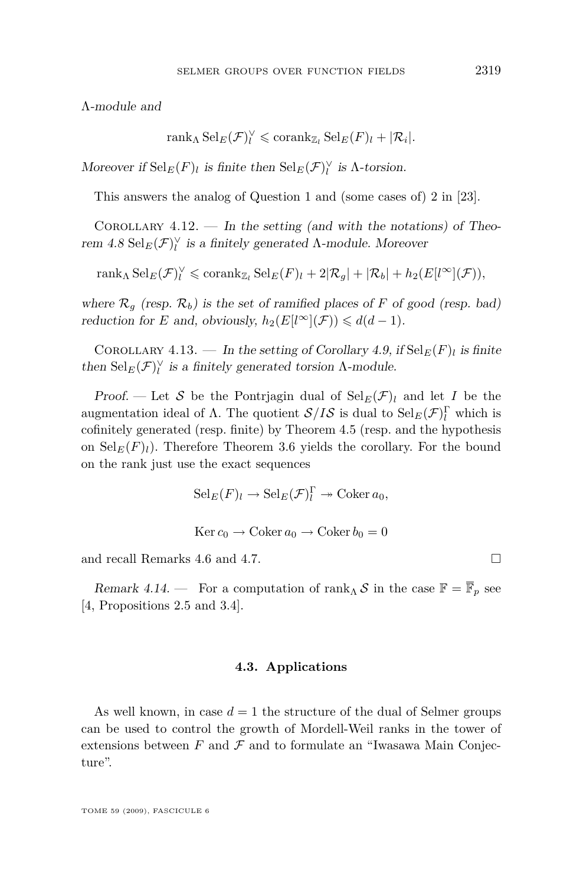<span id="page-19-0"></span>Λ-module and

$$
\operatorname{rank}_{\Lambda} \operatorname{Sel}_E(\mathcal{F})_l^{\vee} \leq \operatorname{corank}_{\mathbb{Z}_l} \operatorname{Sel}_E(F)_l + |\mathcal{R}_i|.
$$

Moreover if  $\text{Sel}_{E}(F)$ *l* is finite then  $\text{Sel}_{E}(\mathcal{F})^{\vee}$  is  $\Lambda$ -torsion.

This answers the analog of Question 1 and (some cases of) 2 in [\[23\]](#page-27-0).

COROLLARY  $4.12.$  — In the setting (and with the notations) of Theorem  $4.8 \text{ Sel}_E(\mathcal{F})_l^{\vee}$  $4.8 \text{ Sel}_E(\mathcal{F})_l^{\vee}$  is a finitely generated  $\Lambda$ -module. Moreover

 $\text{rank}_{\Lambda} \text{Sel}_{E}(\mathcal{F})_{l}^{\vee} \leqslant \text{corank}_{\mathbb{Z}_{l}} \text{Sel}_{E}(F)_{l} + 2|\mathcal{R}_{g}| + |\mathcal{R}_{b}| + h_{2}(E[l^{\infty}](\mathcal{F})),$ 

where  $\mathcal{R}_q$  (resp.  $\mathcal{R}_b$ ) is the set of ramified places of *F* of good (resp. bad) reduction for *E* and, obviously,  $h_2(E[*l*<sup>\infty</sup>](\mathcal{F})) \leq d(d-1)$ .

COROLLARY 4.13. — In the setting of Corollary [4.9,](#page-17-0) if  $\text{Sel}_E(F)_l$  is finite then  $\text{Sel}_{E}(\mathcal{F})^{\vee}_{l}$  is a finitely generated torsion  $\Lambda$ -module.

Proof. — Let *S* be the Pontrjagin dual of  $\text{Sel}_{E}(\mathcal{F})_l$  and let *I* be the augmentation ideal of  $\Lambda$ . The quotient  $S/IS$  is dual to  $\text{Sel}_{E}(\mathcal{F})_{l}^{\Gamma}$  which is cofinitely generated (resp. finite) by Theorem [4.5](#page-13-0) (resp. and the hypothesis on  $\text{Sel}_E(F)_l$ ). Therefore Theorem [3.6](#page-10-0) yields the corollary. For the bound on the rank just use the exact sequences

$$
Sel_E(F)_l \to Sel_E(\mathcal{F})_l^{\Gamma} \to \mathrm{Coker} \, a_0,
$$
  
 
$$
\mathrm{Ker} \, c_0 \to \mathrm{Coker} \, a_0 \to \mathrm{Coker} \, b_0 = 0
$$

and recall Remarks [4.6](#page-15-0) and [4.7.](#page-15-0)

Remark 4.14. — For a computation of rank<sub>Λ</sub> *S* in the case  $\mathbb{F} = \overline{\mathbb{F}}_p$  see [\[4,](#page-26-0) Propositions 2.5 and 3.4].

#### **4.3. Applications**

As well known, in case  $d = 1$  the structure of the dual of Selmer groups can be used to control the growth of Mordell-Weil ranks in the tower of extensions between  $F$  and  $\mathcal F$  and to formulate an "Iwasawa Main Conjecture".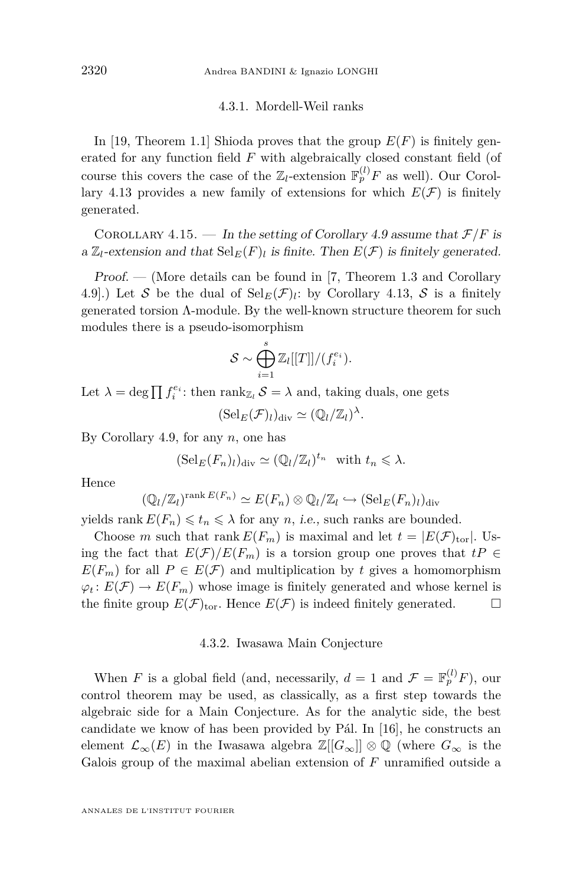#### 4.3.1. Mordell-Weil ranks

<span id="page-20-0"></span>In [\[19,](#page-27-0) Theorem 1.1] Shioda proves that the group  $E(F)$  is finitely generated for any function field *F* with algebraically closed constant field (of course this covers the case of the  $\mathbb{Z}_l$ -extension  $\mathbb{F}_p^{(l)}F$  as well). Our Corol-lary [4.13](#page-19-0) provides a new family of extensions for which  $E(\mathcal{F})$  is finitely generated.

COROLLARY 4.15. — In the setting of Corollary [4.9](#page-17-0) assume that  $\mathcal{F}/F$  is a  $\mathbb{Z}_l$ -extension and that  $\text{Sel}_E(F)_l$  is finite. Then  $E(\mathcal{F})$  is finitely generated.

Proof. — (More details can be found in [\[7,](#page-26-0) Theorem 1.3 and Corollary 4.9.) Let S be the dual of  $\text{Sel}_{E}(\mathcal{F})$ *l*: by Corollary [4.13,](#page-19-0) S is a finitely generated torsion Λ-module. By the well-known structure theorem for such modules there is a pseudo-isomorphism

$$
\mathcal{S} \sim \bigoplus_{i=1}^s \mathbb{Z}_l[[T]]/(f_i^{e_i}).
$$

Let  $\lambda = \deg \prod f_i^{e_i}$ : then  $\text{rank}_{\mathbb{Z}_l} \mathcal{S} = \lambda$  and, taking duals, one gets

 $(\text{Sel}_E(\mathcal{F})_l)_{\text{div}} \simeq (\mathbb{Q}_l/\mathbb{Z}_l)^{\lambda}.$ 

By Corollary [4.9,](#page-17-0) for any *n*, one has

$$
(\mathrm{Sel}_E(F_n)_l)_{\mathrm{div}} \simeq (\mathbb{Q}_l/\mathbb{Z}_l)^{t_n} \text{ with } t_n \leq \lambda.
$$

Hence

$$
(\mathbb{Q}_l/\mathbb{Z}_l)^{\text{rank }E(F_n)} \simeq E(F_n) \otimes \mathbb{Q}_l/\mathbb{Z}_l \hookrightarrow (\text{Sel}_E(F_n)_l)_{\text{div}}
$$

yields rank  $E(F_n) \leq t_n \leq \lambda$  for any *n*, *i.e.*, such ranks are bounded.

Choose *m* such that rank  $E(F_m)$  is maximal and let  $t = |E(\mathcal{F})_{\text{tor}}|$ . Using the fact that  $E(\mathcal{F})/E(F_m)$  is a torsion group one proves that  $tP \in$  $E(F_m)$  for all  $P \in E(\mathcal{F})$  and multiplication by *t* gives a homomorphism  $\varphi_t: E(\mathcal{F}) \to E(F_m)$  whose image is finitely generated and whose kernel is the finite group  $E(\mathcal{F})_{\text{tor}}$ . Hence  $E(\mathcal{F})$  is indeed finitely generated.

#### 4.3.2. Iwasawa Main Conjecture

When *F* is a global field (and, necessarily,  $d = 1$  and  $\mathcal{F} = \mathbb{F}_p^{(l)} F$ ), our control theorem may be used, as classically, as a first step towards the algebraic side for a Main Conjecture. As for the analytic side, the best candidate we know of has been provided by Pál. In [\[16\]](#page-27-0), he constructs an element  $\mathcal{L}_{\infty}(E)$  in the Iwasawa algebra  $\mathbb{Z}[[G_{\infty}]] \otimes \mathbb{Q}$  (where  $G_{\infty}$  is the Galois group of the maximal abelian extension of *F* unramified outside a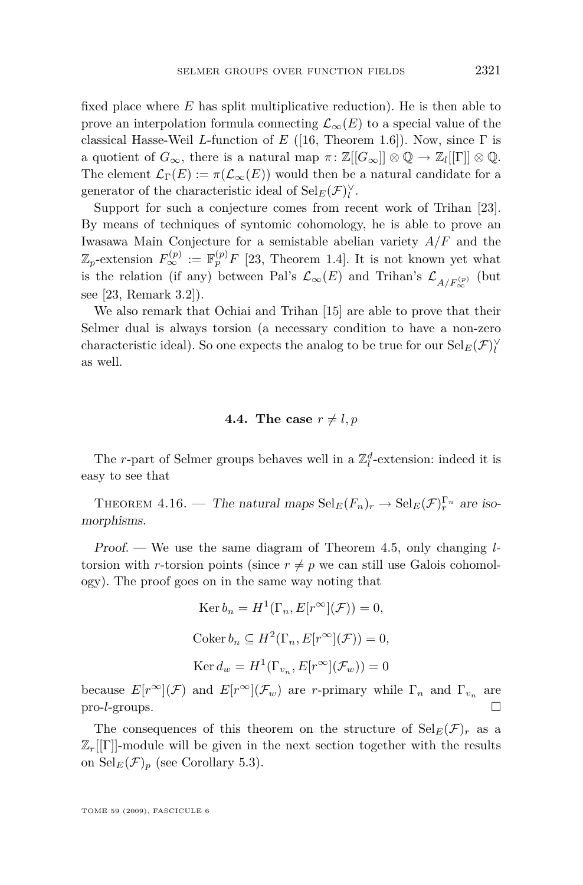<span id="page-21-0"></span>fixed place where *E* has split multiplicative reduction). He is then able to prove an interpolation formula connecting  $\mathcal{L}_{\infty}(E)$  to a special value of the classical Hasse-Weil *L*-function of *E* ([\[16,](#page-27-0) Theorem 1.6]). Now, since Γ is a quotient of  $G_{\infty}$ , there is a natural map  $\pi: \mathbb{Z}[[G_{\infty}]] \otimes \mathbb{Q} \to \mathbb{Z}_l[[\Gamma]] \otimes \mathbb{Q}$ . The element  $\mathcal{L}_{\Gamma}(E) := \pi(\mathcal{L}_{\infty}(E))$  would then be a natural candidate for a generator of the characteristic ideal of  $\operatorname{Sel}_{E}(\mathcal{F})_{l}^{\vee}$ .

Support for such a conjecture comes from recent work of Trihan [\[23\]](#page-27-0). By means of techniques of syntomic cohomology, he is able to prove an Iwasawa Main Conjecture for a semistable abelian variety *A/F* and the  $\mathbb{Z}_p$ -extension  $F_{\infty}^{(p)} := \mathbb{F}_p^{(p)} F$  [\[23,](#page-27-0) Theorem 1.4]. It is not known yet what is the relation (if any) between Pal's  $\mathcal{L}_{\infty}(E)$  and Trihan's  $\mathcal{L}_{A/F_{\infty}^{(p)}}$  (but see [\[23,](#page-27-0) Remark 3.2]).

We also remark that Ochiai and Trihan [\[15\]](#page-27-0) are able to prove that their Selmer dual is always torsion (a necessary condition to have a non-zero characteristic ideal). So one expects the analog to be true for our  $\operatorname{Sel}_{E}(\mathcal{F})^{\vee}_{l}$ as well.

#### **4.4.** The case  $r \neq l, p$

The *r*-part of Selmer groups behaves well in a  $\mathbb{Z}_l^d\text{-extension: indeed it is$ easy to see that

THEOREM 4.16. — The natural maps  $\text{Sel}_E(F_n)_r \to \text{Sel}_E(\mathcal{F})_r^{\Gamma_n}$  are isomorphisms.

Proof. — We use the same diagram of Theorem [4.5,](#page-13-0) only changing *l*torsion with *r*-torsion points (since  $r \neq p$  we can still use Galois cohomology). The proof goes on in the same way noting that

$$
\operatorname{Ker} b_n = H^1(\Gamma_n, E[r^\infty](\mathcal{F})) = 0,
$$
  

$$
\operatorname{Coker} b_n \subseteq H^2(\Gamma_n, E[r^\infty](\mathcal{F})) = 0,
$$
  

$$
\operatorname{Ker} d_w = H^1(\Gamma_{v_n}, E[r^\infty](\mathcal{F}_w)) = 0
$$

because  $E[r^{\infty}](\mathcal{F})$  and  $E[r^{\infty}](\mathcal{F}_w)$  are *r*-primary while  $\Gamma_n$  and  $\Gamma_{v_n}$  are pro-*l*-groups.

The consequences of this theorem on the structure of  $\text{Sel}_{E}(\mathcal{F})_r$  as a  $\mathbb{Z}_r[[\Gamma]]$ -module will be given in the next section together with the results on  $\operatorname{Sel}_E(\mathcal{F})_p$  (see Corollary [5.3\)](#page-24-0).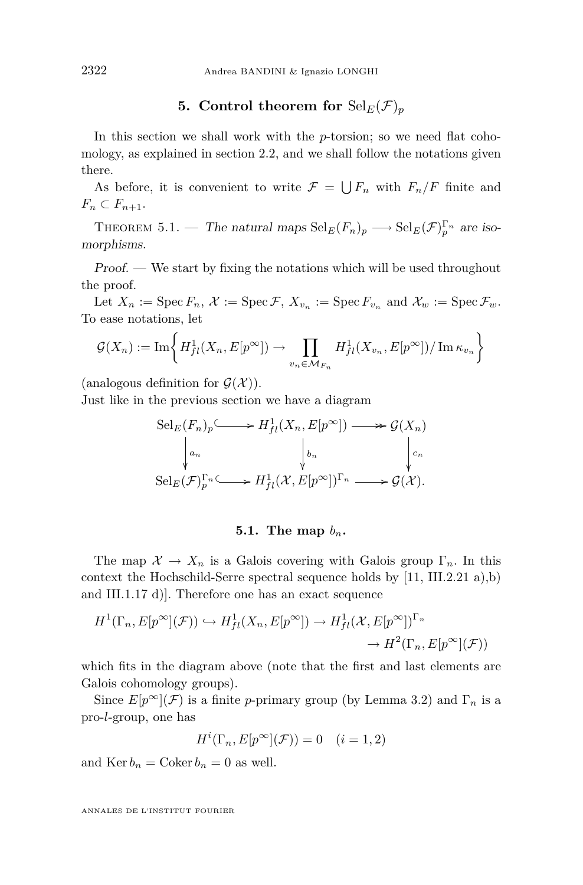#### **5.** Control theorem for  $\text{Sel}_E(\mathcal{F})_p$

<span id="page-22-0"></span>In this section we shall work with the *p*-torsion; so we need flat cohomology, as explained in section [2.2,](#page-5-0) and we shall follow the notations given there.

As before, it is convenient to write  $\mathcal{F} = \bigcup F_n$  with  $F_n/F$  finite and  $F_n \subset F_{n+1}.$ 

THEOREM 5.1. — The natural maps  $\text{Sel}_E(F_n)_p \longrightarrow \text{Sel}_E(\mathcal{F})_p^{\Gamma_n}$  are isomorphisms.

Proof. — We start by fixing the notations which will be used throughout the proof.

Let  $X_n := \operatorname{Spec} F_n$ ,  $\mathcal{X} := \operatorname{Spec} \mathcal{F}$ ,  $X_{v_n} := \operatorname{Spec} F_{v_n}$  and  $\mathcal{X}_w := \operatorname{Spec} \mathcal{F}_w$ . To ease notations, let

$$
\mathcal{G}(X_n) := \mathrm{Im}\bigg\{H^1_{fl}(X_n, E[p^\infty]) \to \prod_{v_n \in \mathcal{M}_{F_n}} H^1_{fl}(X_{v_n}, E[p^\infty]) / \mathrm{Im} \,\kappa_{v_n}\bigg\}
$$

(analogous definition for  $\mathcal{G}(\mathcal{X})$ ).

Just like in the previous section we have a diagram

$$
\operatorname{Sel}_E(F_n)_p \xrightarrow{\smile} H^1_{fl}(X_n, E[p^\infty]) \longrightarrow {\mathcal G}(X_n)
$$
\n
$$
\downarrow_{a_n} \qquad \qquad \downarrow_{b_n} \qquad \qquad \downarrow_{c_n}
$$
\n
$$
\operatorname{Sel}_E(\mathcal{F})_p^{\Gamma_n} \xrightarrow{\smile} H^1_{fl}(\mathcal{X}, E[p^\infty])^{\Gamma_n} \longrightarrow {\mathcal G}(\mathcal{X}).
$$

#### 5.1. The map  $b_n$ .

The map  $\mathcal{X} \to X_n$  is a Galois covering with Galois group  $\Gamma_n$ . In this context the Hochschild-Serre spectral sequence holds by [\[11,](#page-26-0) III.2.21 a),b) and III.1.17 d)]. Therefore one has an exact sequence

$$
H^1(\Gamma_n, E[p^{\infty}](\mathcal{F})) \hookrightarrow H^1_{fl}(X_n, E[p^{\infty}]) \to H^1_{fl}(\mathcal{X}, E[p^{\infty}])^{\Gamma_n}
$$

$$
\to H^2(\Gamma_n, E[p^{\infty}](\mathcal{F}))
$$

which fits in the diagram above (note that the first and last elements are Galois cohomology groups).

Since  $E[p^{\infty}](\mathcal{F})$  is a finite *p*-primary group (by Lemma [3.2\)](#page-7-0) and  $\Gamma_n$  is a pro-*l*-group, one has

$$
H^i(\Gamma_n, E[p^\infty](\mathcal{F})) = 0 \quad (i = 1, 2)
$$

and  $\text{Ker } b_n = \text{Coker } b_n = 0$  as well.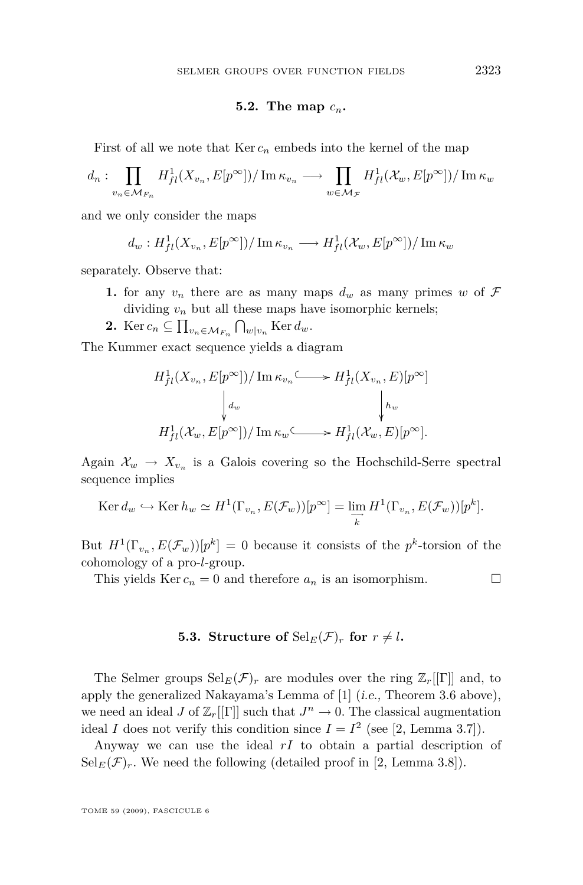#### 5.2. The map  $c_n$ .

First of all we note that  $\text{Ker } c_n$  embeds into the kernel of the map

$$
d_n: \prod_{v_n \in \mathcal{M}_{F_n}} H^1_{fl}(X_{v_n}, E[p^{\infty}]) / \operatorname{Im} \kappa_{v_n} \longrightarrow \prod_{w \in \mathcal{M}_{F}} H^1_{fl}(\mathcal{X}_w, E[p^{\infty}]) / \operatorname{Im} \kappa_w
$$

and we only consider the maps

$$
d_w: H^1_{fl}(X_{v_n}, E[p^{\infty}]) / \operatorname{Im} \kappa_{v_n} \longrightarrow H^1_{fl}(\mathcal{X}_w, E[p^{\infty}]) / \operatorname{Im} \kappa_w
$$

separately. Observe that:

- **1.** for any  $v_n$  there are as many maps  $d_w$  as many primes  $w$  of  $\mathcal F$ dividing  $v_n$  but all these maps have isomorphic kernels;
- 2. Ker  $c_n \subseteq \prod_{v_n \in \mathcal{M}_{F_n}} \bigcap_{w \mid v_n} \text{Ker } d_w$ .

The Kummer exact sequence yields a diagram

$$
H^1_{fl}(X_{v_n}, E[p^{\infty}]) / \operatorname{Im} \kappa_{v_n} \longrightarrow H^1_{fl}(X_{v_n}, E)[p^{\infty}]
$$

$$
\downarrow d_w \qquad \qquad \downarrow h_w
$$

$$
H^1_{fl}(\mathcal{X}_w, E[p^{\infty}]) / \operatorname{Im} \kappa_w \longrightarrow H^1_{fl}(\mathcal{X}_w, E)[p^{\infty}].
$$

Again  $\mathcal{X}_w \to \mathcal{X}_{v_n}$  is a Galois covering so the Hochschild-Serre spectral sequence implies

$$
\operatorname{Ker} d_w \hookrightarrow \operatorname{Ker} h_w \simeq H^1(\Gamma_{v_n}, E(\mathcal{F}_w))[p^\infty] = \varinjlim_{\overrightarrow{k}} H^1(\Gamma_{v_n}, E(\mathcal{F}_w))[p^k].
$$

But  $H^1(\Gamma_{v_n}, E(\mathcal{F}_w))[p^k] = 0$  because it consists of the  $p^k$ -torsion of the cohomology of a pro-*l*-group.

This yields Ker  $c_n = 0$  and therefore  $a_n$  is an isomorphism.

#### **5.3. Structure of**  $\text{Sel}_E(\mathcal{F})_r$  for  $r \neq l$ .

The Selmer groups  $\text{Sel}_{E}(\mathcal{F})_r$  are modules over the ring  $\mathbb{Z}_r[[\Gamma]]$  and, to apply the generalized Nakayama's Lemma of [\[1\]](#page-26-0) (i.e., Theorem [3.6](#page-10-0) above), we need an ideal *J* of  $\mathbb{Z}_r[[\Gamma]]$  such that  $J^n \to 0$ . The classical augmentation ideal *I* does not verify this condition since  $I = I^2$  (see [\[2,](#page-26-0) Lemma 3.7]).

Anyway we can use the ideal *rI* to obtain a partial description of  $Sel_E(\mathcal{F})_r$ . We need the following (detailed proof in [\[2,](#page-26-0) Lemma 3.8]).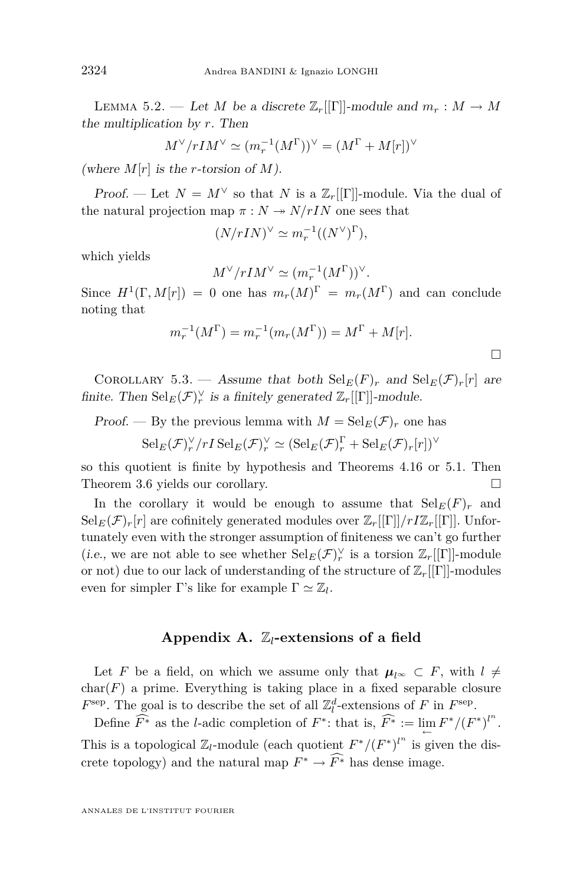<span id="page-24-0"></span>LEMMA 5.2. — Let *M* be a discrete  $\mathbb{Z}_r[[\Gamma]]$ -module and  $m_r : M \to M$ the multiplication by *r*. Then

$$
M^\vee/rIM^\vee\simeq (m_r^{-1}(M^\Gamma))^\vee=(M^\Gamma+M[r])^\vee
$$

(where  $M[r]$  is the *r*-torsion of  $M$ ).

Proof. — Let  $N = M^{\vee}$  so that *N* is a  $\mathbb{Z}_r[[\Gamma]]$ -module. Via the dual of the natural projection map  $\pi : N \rightarrow N/rIN$  one sees that

$$
(N/rIN)^{\vee} \simeq m_r^{-1}((N^{\vee})^{\Gamma}),
$$

which yields

$$
M^{\vee}/rIM^{\vee} \simeq (m_r^{-1}(M^{\Gamma}))^{\vee}.
$$

Since  $H^1(\Gamma, M[r]) = 0$  one has  $m_r(M)^{\Gamma} = m_r(M^{\Gamma})$  and can conclude noting that

$$
m_r^{-1}(M^{\Gamma}) = m_r^{-1}(m_r(M^{\Gamma})) = M^{\Gamma} + M[r].
$$

COROLLARY 5.3. — Assume that both  $\text{Sel}_E(F)_r$  and  $\text{Sel}_E(\mathcal{F})_r[r]$  are finite. Then  $\operatorname{Sel}_E(\mathcal{F})_r^{\vee}$  is a finitely generated  $\mathbb{Z}_r[[\Gamma]]$ -module.

Proof. — By the previous lemma with  $M = \text{Sel}_E(\mathcal{F})_r$  one has

$$
\mathrm{Sel}_{E}(\mathcal{F})_{r}^{\vee}/rI\,\mathrm{Sel}_{E}(\mathcal{F})_{r}^{\vee} \simeq (\mathrm{Sel}_{E}(\mathcal{F})_{r}^{\Gamma} + \mathrm{Sel}_{E}(\mathcal{F})_{r}[r])^{\vee}
$$

so this quotient is finite by hypothesis and Theorems [4.16](#page-21-0) or [5.1.](#page-22-0) Then Theorem [3.6](#page-10-0) yields our corollary.

In the corollary it would be enough to assume that  $\text{Sel}_E(F)_r$  and  $\text{Sel}_E(\mathcal{F})_r[r]$  are cofinitely generated modules over  $\mathbb{Z}_r[[\Gamma]]/rI\mathbb{Z}_r[[\Gamma]]$ . Unfortunately even with the stronger assumption of finiteness we can't go further (i.e., we are not able to see whether  $\operatorname{Sel}_E(\mathcal{F})_r^{\vee}$  is a torsion  $\mathbb{Z}_r[[\Gamma]]$ -module or not) due to our lack of understanding of the structure of Z*r*[[Γ]]-modules even for simpler  $\Gamma$ 's like for example  $\Gamma \simeq \mathbb{Z}_l$ .

#### **Appendix A.** Z*l***-extensions of a field**

Let *F* be a field, on which we assume only that  $\mu_{l^{\infty}} \subset F$ , with  $l \neq$  $char(F)$  a prime. Everything is taking place in a fixed separable closure  $F^{\text{sep}}$ . The goal is to describe the set of all  $\mathbb{Z}_l^d$ -extensions of *F* in  $F^{\text{sep}}$ .

Define  $\widehat{F^*}$  as the *l*-adic completion of  $F^*$ : that is,  $\widehat{F^*} := \lim_{\leftarrow} F^* / (F^*)^{l^n}$ . This is a topological  $\mathbb{Z}_l$ -module (each quotient  $F^*/(F^*)^{l^n}$  is given the discrete topology) and the natural map  $F^* \to \widehat{F^*}$  has dense image.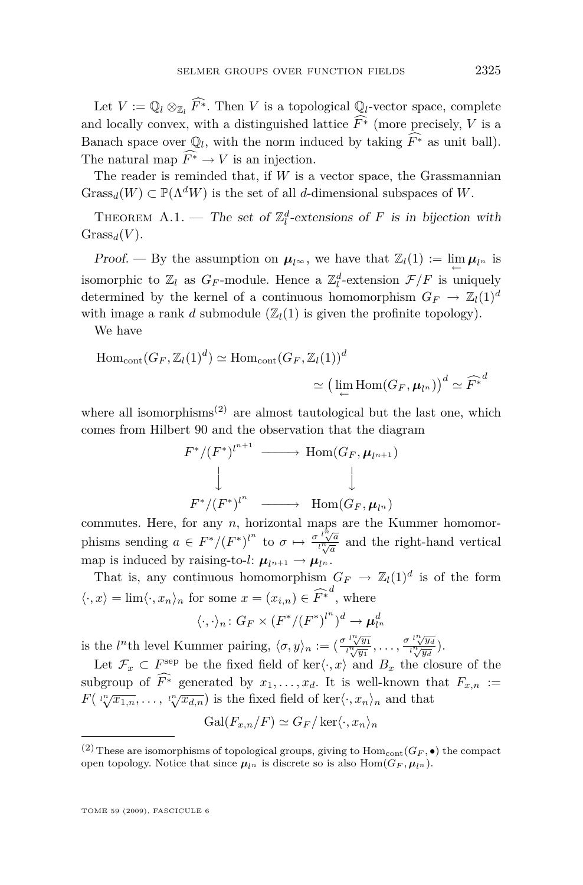Let  $V := \mathbb{Q}_l \otimes_{\mathbb{Z}_l} \widehat{F^*}$ . Then *V* is a topological  $\mathbb{Q}_l$ -vector space, complete and locally convex, with a distinguished lattice  $\widehat{F^*}$  (more precisely, *V* is a Banach space over  $\mathbb{Q}_l$ , with the norm induced by taking  $\widehat{F^*}$  as unit ball). The natural map  $\widehat{F^*} \to V$  is an injection.

The reader is reminded that, if *W* is a vector space, the Grassmannian  $Grass_d(W) \subset \mathbb{P}(\Lambda^d W)$  is the set of all *d*-dimensional subspaces of W.

THEOREM A.1. — The set of  $\mathbb{Z}_l^d$ -extensions of *F* is in bijection with  $Grass_d(V)$ .

Proof. — By the assumption on  $\mu_{l^{\infty}}$ , we have that  $\mathbb{Z}_{l}(1) := \lim_{\leftarrow} \mu_{l^n}$  is isomorphic to  $\mathbb{Z}_l$  as  $G_F$ -module. Hence a  $\mathbb{Z}_l^d$ -extension  $\mathcal{F}/F$  is uniquely determined by the kernel of a continuous homomorphism  $G_F \to \mathbb{Z}_l(1)^d$ with image a rank *d* submodule  $(\mathbb{Z}_l(1))$  is given the profinite topology).

We have

$$
\text{Hom}_{\text{cont}}(G_F, \mathbb{Z}_l(1)^d) \simeq \text{Hom}_{\text{cont}}(G_F, \mathbb{Z}_l(1))^d
$$

$$
\simeq \left(\lim_{\leftarrow} \text{Hom}(G_F, \mu_{l^n})\right)^d \simeq \widehat{F^*}^d
$$

where all isomorphisms<sup> $(2)$ </sup> are almost tautological but the last one, which comes from Hilbert 90 and the observation that the diagram

$$
F^*/(F^*)^{l^{n+1}} \longrightarrow \text{Hom}(G_F, \mu_{l^{n+1}})
$$
  

$$
\downarrow \qquad \qquad \downarrow
$$
  

$$
F^*/(F^*)^{l^n} \longrightarrow \text{Hom}(G_F, \mu_{l^n})
$$

commutes. Here, for any *n*, horizontal maps are the Kummer homomorphisms sending  $a \in F^*/(F^*)^{l^n}$  to  $\sigma \mapsto \frac{\sigma^{l^n}\sqrt{a}}{l^n\sqrt{a}}$  and the right-hand vertical map is induced by raising-to-*l*:  $\mu_{l^{n+1}} \rightarrow \mu_{l^n}$ .

That is, any continuous homomorphism  $G_F \to \mathbb{Z}_l(1)^d$  is of the form  $\langle \cdot, x \rangle = \lim \langle \cdot, x_n \rangle_n$  for some  $x = (x_{i,n}) \in \widehat{F^*}^d$ , where  $\langle \cdot, \cdot \rangle_n \colon G_F \times (F^*/(F^*)^{l^n})^d \to \mu_{l^n}^d$ 

is the *l*<sup>n</sup>th level Kummer pairing,  $\langle \sigma, y \rangle_n := \left( \frac{\sigma \, l \sqrt[n]{y_1}}{l \sqrt[n]{y_1}}, \ldots, \frac{\sigma \, l \sqrt[n]{y_d}}{l \sqrt[n]{y_d}} \right)$  $\frac{\sqrt{y_d}}{\sqrt{y_d}}$ ).

Let  $\mathcal{F}_x \subset F^{\text{sep}}$  be the fixed field of ker $\langle \cdot, x \rangle$  and  $B_x$  the closure of the subgroup of  $\widehat{F^*}$  generated by  $x_1, \ldots, x_d$ . It is well-known that  $F_{x,n}$  := *F*( $\iota_v^{\prime\prime}(\overline{x_{1,n}}, \ldots, \iota_v^{\prime\prime}(\overline{x_{d,n}}))$  is the fixed field of ker $\langle \cdot, x_n \rangle_n$  and that

$$
\mathrm{Gal}(F_{x,n}/F)\simeq G_F/\ker\langle \cdot, x_n\rangle_n
$$

<sup>&</sup>lt;sup>(2)</sup> These are isomorphisms of topological groups, giving to  $Hom_{cont}(G_F, \bullet)$  the compact open topology. Notice that since  $\mu_{l^n}$  is discrete so is also  $Hom(G_F, \mu_{l^n})$ .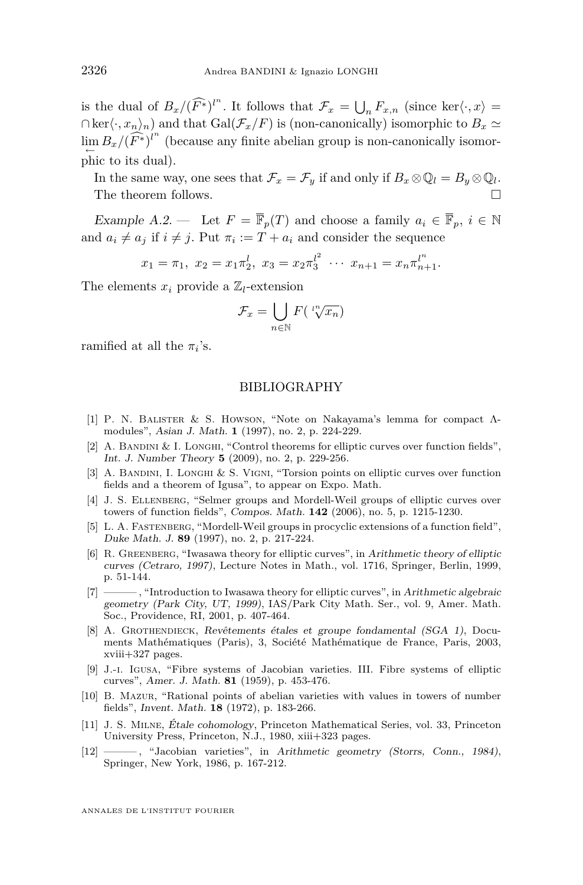<span id="page-26-0"></span>is the dual of  $B_x/(\widehat{F^*})^n$ . It follows that  $\mathcal{F}_x = \bigcup_n F_{x,n}$  (since ker $\langle \cdot, x \rangle =$  $\cap$ ker $\langle \cdot, x_n \rangle_n$  and that Gal( $\mathcal{F}_x/F$ ) is (non-canonically) isomorphic to *B<sub>x</sub>* ≥  $\lim_{\leftarrow} B_x / (\widehat{F^*})^{l^n}$  (because any finite abelian group is non-canonically isomorphic to its dual).

In the same way, one sees that  $\mathcal{F}_x = \mathcal{F}_y$  if and only if  $B_x \otimes \mathbb{Q}_l = B_y \otimes \mathbb{Q}_l$ . The theorem follows.

Example A.2. — Let  $F = \overline{\mathbb{F}}_p(T)$  and choose a family  $a_i \in \overline{\mathbb{F}}_p$ ,  $i \in \mathbb{N}$ and  $a_i \neq a_j$  if  $i \neq j$ . Put  $\pi_i := T + a_i$  and consider the sequence

$$
x_1 = \pi_1, x_2 = x_1 \pi_2^l, x_3 = x_2 \pi_3^{l^2} \cdots x_{n+1} = x_n \pi_{n+1}^{l^n}.
$$

The elements  $x_i$  provide a  $\mathbb{Z}_l$ -extension

$$
\mathcal{F}_x = \bigcup_{n \in \mathbb{N}} F\left(\sqrt[n^n]{x_n}\right)
$$

ramified at all the  $\pi_i$ 's.

#### BIBLIOGRAPHY

- [1] P. N. Balister & S. Howson, "Note on Nakayama's lemma for compact Λmodules", Asian J. Math. **1** (1997), no. 2, p. 224-229.
- [2] A. BANDINI & I. LONGHI, "Control theorems for elliptic curves over function fields", Int. J. Number Theory **5** (2009), no. 2, p. 229-256.
- [3] A. BANDINI, I. LONGHI & S. VIGNI, "Torsion points on elliptic curves over function fields and a theorem of Igusa", to appear on Expo. Math.
- [4] J. S. Ellenberg, "Selmer groups and Mordell-Weil groups of elliptic curves over towers of function fields", Compos. Math. **142** (2006), no. 5, p. 1215-1230.
- [5] L. A. FASTENBERG, "Mordell-Weil groups in procyclic extensions of a function field", Duke Math. J. **89** (1997), no. 2, p. 217-224.
- [6] R. Greenberg, "Iwasawa theory for elliptic curves", in Arithmetic theory of elliptic curves (Cetraro, 1997), Lecture Notes in Math., vol. 1716, Springer, Berlin, 1999, p. 51-144.
- [7] ——— , "Introduction to Iwasawa theory for elliptic curves", in Arithmetic algebraic geometry (Park City, UT, 1999), IAS/Park City Math. Ser., vol. 9, Amer. Math. Soc., Providence, RI, 2001, p. 407-464.
- [8] A. GROTHENDIECK, Revêtements étales et groupe fondamental (SGA 1), Documents Mathématiques (Paris), 3, Société Mathématique de France, Paris, 2003, xviii+327 pages.
- [9] J.-i. Igusa, "Fibre systems of Jacobian varieties. III. Fibre systems of elliptic curves", Amer. J. Math. **81** (1959), p. 453-476.
- [10] B. Mazur, "Rational points of abelian varieties with values in towers of number fields", Invent. Math. **18** (1972), p. 183-266.
- [11] J. S. Milne, Étale cohomology, Princeton Mathematical Series, vol. 33, Princeton University Press, Princeton, N.J., 1980, xiii+323 pages.
- [12] , "Jacobian varieties", in Arithmetic geometry (Storrs, Conn., 1984), Springer, New York, 1986, p. 167-212.